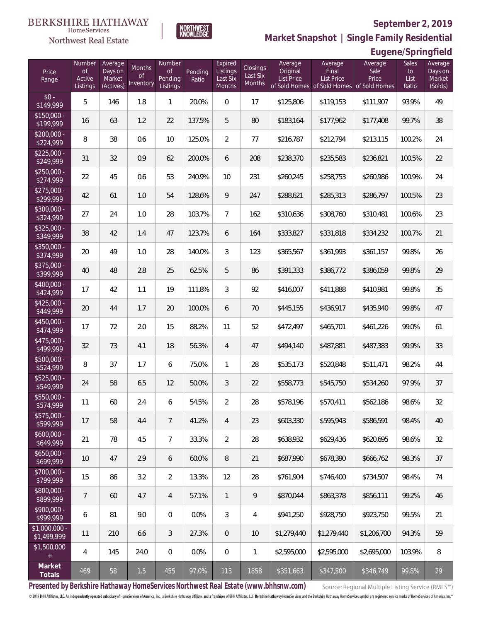**Eugene/Springfield**



**Market Snapshot | Single Family Residential**

# $\begin{matrix} \texttt{BERKSHIRE\ HATHAWAY}\label{fig:BRKSHIRE} \end{matrix}$  Home<br>Services Northwest Real Estate

| Price<br>Range               | Number<br>$\circ$ f<br>Active<br>Listings | Average<br>Days on<br>Market<br>(Actives) | Months<br>of<br>Inventory | Number<br><b>of</b><br>Pending<br>Listings | Pending<br>Ratio | Expired<br>Listings<br>Last Six<br>Months | Closings<br>Last Six<br>Months | Average<br>Original<br><b>List Price</b> | Average<br>Final<br>List Price<br>of Sold Homes of Sold Homes of Sold Homes | Average<br>Sale<br>Price | <b>Sales</b><br>to<br>List<br>Ratio | Average<br>Days on<br>Market<br>(Solds) |
|------------------------------|-------------------------------------------|-------------------------------------------|---------------------------|--------------------------------------------|------------------|-------------------------------------------|--------------------------------|------------------------------------------|-----------------------------------------------------------------------------|--------------------------|-------------------------------------|-----------------------------------------|
| $$0 -$<br>\$149,999          | 5                                         | 146                                       | 1.8                       | $\mathbf{1}$                               | 20.0%            | $\overline{0}$                            | 17                             | \$125,806                                | \$119,153                                                                   | \$111,907                | 93.9%                               | 49                                      |
| $$150,000 -$<br>\$199,999    | 16                                        | 63                                        | 1.2                       | 22                                         | 137.5%           | 5                                         | 80                             | \$183,164                                | \$177,962                                                                   | \$177,408                | 99.7%                               | 38                                      |
| $$200,000 -$<br>\$224,999    | 8                                         | 38                                        | 0.6                       | 10                                         | 125.0%           | $\overline{2}$                            | 77                             | \$216,787                                | \$212,794                                                                   | \$213,115                | 100.2%                              | 24                                      |
| $$225.000 -$<br>\$249,999    | 31                                        | 32                                        | 0.9                       | 62                                         | 200.0%           | 6                                         | 208                            | \$238,370                                | \$235,583                                                                   | \$236,821                | 100.5%                              | 22                                      |
| $$250,000 -$<br>\$274,999    | 22                                        | 45                                        | 0.6                       | 53                                         | 240.9%           | 10                                        | 231                            | \$260,245                                | \$258,753                                                                   | \$260,986                | 100.9%                              | 24                                      |
| $$275,000 -$<br>\$299,999    | 42                                        | 61                                        | 1.0                       | 54                                         | 128.6%           | 9                                         | 247                            | \$288,621                                | \$285,313                                                                   | \$286,797                | 100.5%                              | 23                                      |
| $$300,000 -$<br>\$324,999    | 27                                        | 24                                        | 1.0                       | 28                                         | 103.7%           | $\overline{7}$                            | 162                            | \$310,636                                | \$308,760                                                                   | \$310,481                | 100.6%                              | 23                                      |
| $$325,000 -$<br>\$349,999    | 38                                        | 42                                        | 1.4                       | 47                                         | 123.7%           | 6                                         | 164                            | \$333,827                                | \$331,818                                                                   | \$334,232                | 100.7%                              | 21                                      |
| $$350,000 -$<br>\$374,999    | 20                                        | 49                                        | 1.0                       | 28                                         | 140.0%           | 3                                         | 123                            | \$365,567                                | \$361,993                                                                   | \$361,157                | 99.8%                               | 26                                      |
| $$375,000 -$<br>\$399,999    | 40                                        | 48                                        | 2.8                       | 25                                         | 62.5%            | 5                                         | 86                             | \$391,333                                | \$386,772                                                                   | \$386,059                | 99.8%                               | 29                                      |
| \$400,000 -<br>\$424,999     | 17                                        | 42                                        | 1.1                       | 19                                         | 111.8%           | 3                                         | 92                             | \$416,007                                | \$411,888                                                                   | \$410,981                | 99.8%                               | 35                                      |
| $$425,000 -$<br>\$449,999    | 20                                        | 44                                        | 1.7                       | 20                                         | 100.0%           | 6                                         | 70                             | \$445,155                                | \$436,917                                                                   | \$435,940                | 99.8%                               | 47                                      |
| $$450,000 -$<br>\$474,999    | 17                                        | 72                                        | 2.0                       | 15                                         | 88.2%            | 11                                        | 52                             | \$472,497                                | \$465,701                                                                   | \$461,226                | 99.0%                               | 61                                      |
| $$475,000 -$<br>\$499,999    | 32                                        | 73                                        | 4.1                       | 18                                         | 56.3%            | $\overline{4}$                            | 47                             | \$494,140                                | \$487,881                                                                   | \$487,383                | 99.9%                               | 33                                      |
| $$500,000 -$<br>\$524,999    | 8                                         | 37                                        | 1.7                       | 6                                          | 75.0%            | 1                                         | 28                             | \$535,173                                | \$520,848                                                                   | \$511,471                | 98.2%                               | 44                                      |
| $$525,000 -$<br>\$549,999    | 24                                        | 58                                        | 6.5                       | 12                                         | 50.0%            | 3                                         | 22                             | \$558,773                                | \$545,750                                                                   | \$534,260                | 97.9%                               | 37                                      |
| \$550,000 -<br>\$574,999     | 11                                        | 60                                        | 2.4                       | 6                                          | 54.5%            | $\overline{2}$                            | 28                             | \$578,196                                | \$570,411                                                                   | \$562,186                | 98.6%                               | 32                                      |
| $$575,000 -$<br>\$599,999    | 17                                        | 58                                        | 4.4                       | $\overline{7}$                             | 41.2%            | $\overline{4}$                            | 23                             | \$603,330                                | \$595,943                                                                   | \$586,591                | 98.4%                               | 40                                      |
| $$600,000 -$<br>\$649,999    | 21                                        | 78                                        | 4.5                       | $\overline{7}$                             | 33.3%            | $\overline{2}$                            | 28                             | \$638,932                                | \$629,436                                                                   | \$620,695                | 98.6%                               | 32                                      |
| $$650,000 -$<br>\$699,999    | 10                                        | 47                                        | 2.9                       | 6                                          | 60.0%            | 8                                         | 21                             | \$687,990                                | \$678,390                                                                   | \$666,762                | 98.3%                               | 37                                      |
| \$700,000 -<br>\$799,999     | 15                                        | 86                                        | 3.2                       | $\overline{2}$                             | 13.3%            | 12                                        | 28                             | \$761,904                                | \$746,400                                                                   | \$734,507                | 98.4%                               | 74                                      |
| \$800,000 -<br>\$899,999     | 7                                         | 60                                        | 4.7                       | 4                                          | 57.1%            | $\mathbf{1}$                              | 9                              | \$870,044                                | \$863,378                                                                   | \$856,111                | 99.2%                               | 46                                      |
| \$900,000 -<br>\$999,999     | 6                                         | 81                                        | 9.0                       | $\overline{0}$                             | 0.0%             | 3                                         | $\overline{4}$                 | \$941,250                                | \$928,750                                                                   | \$923,750                | 99.5%                               | 21                                      |
| \$1,000,000 -<br>\$1,499,999 | 11                                        | 210                                       | 6.6                       | 3                                          | 27.3%            | $\theta$                                  | $10$                           | \$1,279,440                              | \$1,279,440                                                                 | \$1,206,700              | 94.3%                               | 59                                      |
| \$1,500,000                  | 4                                         | 145                                       | 24.0                      | $\sqrt{0}$                                 | 0.0%             | $\boldsymbol{0}$                          | $\mathbf{1}$                   | \$2,595,000                              | \$2,595,000                                                                 | \$2,695,000              | 103.9%                              | $\, 8$                                  |
| Market<br>Totals             | 469                                       | 58                                        | 1.5                       | 455                                        | 97.0%            | 113                                       | 1858                           | \$351,663                                | \$347,500                                                                   | \$346,749                | 99.8%                               | 29                                      |

**Presented by Berkshire Hathaway HomeServices Northwest Real Estate (www.bhhsnw.com)**

Source: Regional Multiple Listing Service (RMLS™)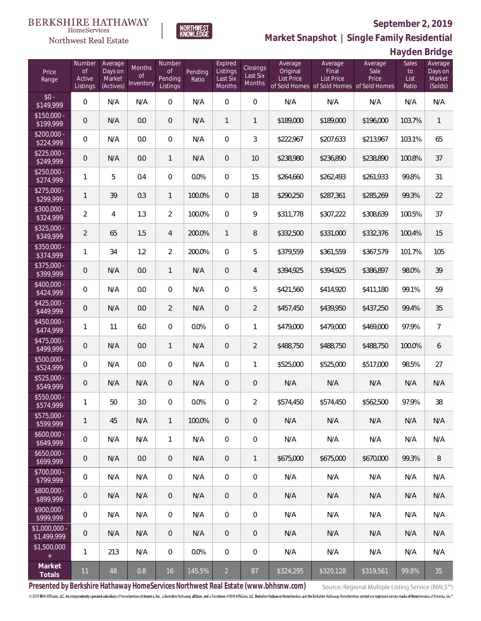

**NORTHWEST**<br>KNOWLEDGE

Northwest Real Estate

**Market Snapshot | Single Family Residential**

**Hayden Bridge**

| Price<br>Range               | Number<br>of<br>Active<br>Listings | Average<br>Days on<br>Market<br>(Actives) | Months<br>Οf<br>Inventory | Number<br><b>of</b><br>Pending<br>Listings | Pending<br>Ratio | Expired<br>Listings<br>Last Six<br>Months | Closings<br>Last Six<br>Months | Average<br>Original<br><b>List Price</b> | Average<br>Final<br>List Price | Average<br>Sale<br>Price<br>of Sold Homes of Sold Homes of Sold Homes | Sales<br>to<br>List<br>Ratio | Average<br>Days on<br>Market<br>(Solds) |
|------------------------------|------------------------------------|-------------------------------------------|---------------------------|--------------------------------------------|------------------|-------------------------------------------|--------------------------------|------------------------------------------|--------------------------------|-----------------------------------------------------------------------|------------------------------|-----------------------------------------|
| $$0 -$<br>\$149,999          | $\overline{0}$                     | N/A                                       | N/A                       | $\overline{0}$                             | N/A              | $\overline{0}$                            | $\overline{0}$                 | N/A                                      | N/A                            | N/A                                                                   | N/A                          | N/A                                     |
| $$150,000 -$<br>\$199,999    | 0                                  | N/A                                       | 0.0                       | $\overline{0}$                             | N/A              | $\mathbf{1}$                              | $\mathbf{1}$                   | \$189,000                                | \$189,000                      | \$196,000                                                             | 103.7%                       | $\mathbf{1}$                            |
| $$200,000 -$<br>\$224,999    | $\overline{0}$                     | N/A                                       | 0.0                       | $\overline{0}$                             | N/A              | $\overline{0}$                            | 3                              | \$222,967                                | \$207,633                      | \$213,967                                                             | 103.1%                       | 65                                      |
| $$225,000 -$<br>\$249,999    | 0                                  | N/A                                       | 0.0                       | $\mathbf{1}$                               | N/A              | $\overline{0}$                            | 10                             | \$238,980                                | \$236,890                      | \$238,890                                                             | 100.8%                       | 37                                      |
| $$250,000 -$<br>\$274,999    | 1                                  | 5                                         | 0.4                       | $\overline{0}$                             | 0.0%             | $\overline{0}$                            | 15                             | \$264,660                                | \$262,493                      | \$261,933                                                             | 99.8%                        | 31                                      |
| $$275,000 -$<br>\$299,999    | $\mathbf{1}$                       | 39                                        | 0.3                       | $\mathbf{1}$                               | 100.0%           | $\overline{0}$                            | 18                             | \$290,250                                | \$287,361                      | \$285,269                                                             | 99.3%                        | 22                                      |
| $$300,000 -$<br>\$324,999    | $\overline{2}$                     | $\overline{4}$                            | 1.3                       | $\overline{2}$                             | 100.0%           | $\overline{0}$                            | 9                              | \$311,778                                | \$307,222                      | \$308,639                                                             | 100.5%                       | 37                                      |
| $$325,000 -$<br>\$349,999    | $\overline{2}$                     | 65                                        | 1.5                       | 4                                          | 200.0%           | $\mathbf{1}$                              | 8                              | \$332,500                                | \$331,000                      | \$332,376                                                             | 100.4%                       | 15                                      |
| $$350,000 -$<br>\$374,999    | 1                                  | 34                                        | 1.2                       | $\overline{2}$                             | 200.0%           | $\overline{0}$                            | 5                              | \$379,559                                | \$361,559                      | \$367,579                                                             | 101.7%                       | 105                                     |
| \$375,000 -<br>\$399,999     | 0                                  | N/A                                       | 0.0                       | $\mathbf{1}$                               | N/A              | $\overline{0}$                            | $\overline{4}$                 | \$394,925                                | \$394,925                      | \$386,897                                                             | 98.0%                        | 39                                      |
| $$400,000 -$<br>\$424,999    | $\overline{0}$                     | N/A                                       | 0.0                       | $\overline{0}$                             | N/A              | $\overline{0}$                            | 5                              | \$421,560                                | \$414,920                      | \$411,180                                                             | 99.1%                        | 59                                      |
| $$425,000 -$<br>\$449,999    | 0                                  | N/A                                       | 0.0                       | $\overline{2}$                             | N/A              | $\overline{0}$                            | $\overline{2}$                 | \$457,450                                | \$439,950                      | \$437,250                                                             | 99.4%                        | 35                                      |
| $$450,000 -$<br>\$474,999    | 1                                  | 11                                        | 6.0                       | $\overline{0}$                             | 0.0%             | $\overline{0}$                            | 1                              | \$479,000                                | \$479,000                      | \$469,000                                                             | 97.9%                        | $\overline{7}$                          |
| $$475,000 -$<br>\$499,999    | 0                                  | N/A                                       | 0.0                       | $\mathbf{1}$                               | N/A              | $\overline{0}$                            | $\overline{2}$                 | \$488,750                                | \$488,750                      | \$488,750                                                             | 100.0%                       | 6                                       |
| \$500,000 -<br>\$524,999     | $\overline{0}$                     | N/A                                       | 0.0                       | $\overline{0}$                             | N/A              | $\overline{0}$                            | 1                              | \$525,000                                | \$525,000                      | \$517,000                                                             | 98.5%                        | 27                                      |
| $$525,000 -$<br>\$549,999    | 0                                  | N/A                                       | N/A                       | $\overline{0}$                             | N/A              | $\overline{0}$                            | $\mathbf 0$                    | N/A                                      | N/A                            | N/A                                                                   | N/A                          | N/A                                     |
| $$550,000 -$<br>\$574,999    | 1                                  | 50                                        | 3.0                       | $\overline{0}$                             | 0.0%             | $\overline{0}$                            | $\overline{2}$                 | \$574,450                                | \$574,450                      | \$562,500                                                             | 97.9%                        | 38                                      |
| $$575,000 -$<br>\$599,999    | 1                                  | 45                                        | N/A                       | $\mathbf{1}$                               | 100.0%           | $\overline{0}$                            | 0                              | N/A                                      | N/A                            | N/A                                                                   | N/A                          | N/A                                     |
| $$600,000 -$<br>\$649,999    | $\mathbf 0$                        | N/A                                       | N/A                       | $\mathbf{1}$                               | N/A              | $\mathbf 0$                               | $\mathbf 0$                    | N/A                                      | N/A                            | N/A                                                                   | N/A                          | N/A                                     |
| $$650,000 -$<br>\$699,999    | $\mathbf 0$                        | N/A                                       | 0.0                       | $\overline{0}$                             | N/A              | $\overline{0}$                            | $\mathbf{1}$                   | \$675,000                                | \$675,000                      | \$670,000                                                             | 99.3%                        | 8                                       |
| $$700,000 -$<br>\$799,999    | 0                                  | N/A                                       | N/A                       | $\overline{0}$                             | N/A              | $\mathbf 0$                               | 0                              | N/A                                      | N/A                            | N/A                                                                   | N/A                          | N/A                                     |
| $$800,000 -$<br>\$899,999    | $\mathbf 0$                        | N/A                                       | N/A                       | $\overline{0}$                             | N/A              | $\overline{0}$                            | 0                              | N/A                                      | N/A                            | N/A                                                                   | N/A                          | N/A                                     |
| $$900,000 -$<br>\$999,999    | 0                                  | N/A                                       | N/A                       | $\overline{0}$                             | N/A              | $\mathbf 0$                               | 0                              | N/A                                      | N/A                            | N/A                                                                   | N/A                          | N/A                                     |
| \$1,000,000 -<br>\$1,499,999 | $\theta$                           | N/A                                       | N/A                       | $\mathbf 0$                                | N/A              | $\boldsymbol{0}$                          | 0                              | N/A                                      | N/A                            | N/A                                                                   | N/A                          | N/A                                     |
| \$1,500,000<br>$\pm$         | 1                                  | 213                                       | N/A                       | $\mathbf 0$                                | 0.0%             | $\mathbf 0$                               | $\boldsymbol{0}$               | N/A                                      | N/A                            | N/A                                                                   | N/A                          | N/A                                     |
| Market<br>Totals             | 11                                 | 48                                        | 0.8                       | 16                                         | 145.5%           | $\overline{2}$                            | 87                             | \$324,295                                | \$320,128                      | \$319,561                                                             | 99.8%                        | 35                                      |

**Presented by Berkshire Hathaway HomeServices Northwest Real Estate (www.bhhsnw.com)**

Source: Regional Multiple Listing Service (RMLS™)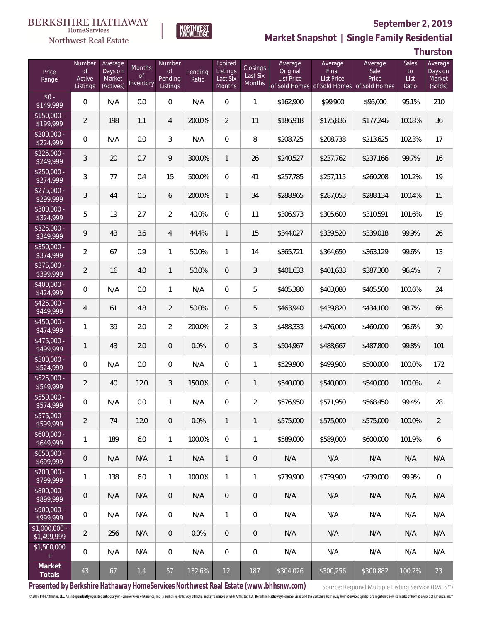#### **BERKSHIRE HATHAWAY** HomeServices

# Northwest Real Estate



# **September 2, 2019 Market Snapshot | Single Family Residential**

**Thurston**

| Price<br>Range                   | Number<br>of<br>Active<br>Listings | Average<br>Days on<br>Market<br>(Actives) | Months<br>Οf<br>Inventory | Number<br>Οf<br>Pending<br>Listings | Pending<br>Ratio | Expired<br>Listings<br>Last Six<br>Months | Closings<br>Last Six<br>Months | Average<br>Original<br><b>List Price</b> | Average<br>Final<br><b>List Price</b><br>of Sold Homes of Sold Homes of Sold Homes | Average<br>Sale<br>Price | Sales<br>to<br>List<br>Ratio | Average<br>Days on<br>Market<br>(Solds) |
|----------------------------------|------------------------------------|-------------------------------------------|---------------------------|-------------------------------------|------------------|-------------------------------------------|--------------------------------|------------------------------------------|------------------------------------------------------------------------------------|--------------------------|------------------------------|-----------------------------------------|
| $$0 -$<br>\$149,999              | $\overline{0}$                     | N/A                                       | 0.0                       | $\overline{0}$                      | N/A              | $\overline{0}$                            | $\mathbf{1}$                   | \$162,900                                | \$99,900                                                                           | \$95,000                 | 95.1%                        | 210                                     |
| $\sqrt{$150,000}$ -<br>\$199,999 | $\overline{2}$                     | 198                                       | 1.1                       | $\overline{4}$                      | 200.0%           | $\overline{2}$                            | 11                             | \$186,918                                | \$175,836                                                                          | \$177,246                | 100.8%                       | 36                                      |
| $$200.000 -$<br>\$224,999        | 0                                  | N/A                                       | 0.0                       | 3                                   | N/A              | $\overline{0}$                            | 8                              | \$208,725                                | \$208,738                                                                          | \$213,625                | 102.3%                       | 17                                      |
| $$225.000 -$<br>\$249,999        | 3                                  | 20                                        | 0.7                       | 9                                   | 300.0%           | $\mathbf{1}$                              | 26                             | \$240,527                                | \$237,762                                                                          | \$237,166                | 99.7%                        | 16                                      |
| $$250,000 -$<br>\$274,999        | 3                                  | 77                                        | 0.4                       | 15                                  | 500.0%           | $\boldsymbol{0}$                          | 41                             | \$257,785                                | \$257,115                                                                          | \$260,208                | 101.2%                       | 19                                      |
| $$275,000 -$<br>\$299,999        | 3                                  | 44                                        | 0.5                       | 6                                   | 200.0%           | $\mathbf{1}$                              | 34                             | \$288,965                                | \$287,053                                                                          | \$288,134                | 100.4%                       | 15                                      |
| $$300,000 -$<br>\$324,999        | 5                                  | 19                                        | 2.7                       | $\overline{2}$                      | 40.0%            | $\boldsymbol{0}$                          | 11                             | \$306,973                                | \$305,600                                                                          | \$310,591                | 101.6%                       | 19                                      |
| $$325,000 -$<br>\$349,999        | 9                                  | 43                                        | 3.6                       | $\overline{4}$                      | 44.4%            | $\mathbf{1}$                              | 15                             | \$344,027                                | \$339,520                                                                          | \$339,018                | 99.9%                        | 26                                      |
| \$350,000 -<br>\$374,999         | $\overline{2}$                     | 67                                        | 0.9                       | $\mathbf{1}$                        | 50.0%            | $\mathbf{1}$                              | 14                             | \$365,721                                | \$364,650                                                                          | \$363,129                | 99.6%                        | 13                                      |
| $$375,000 -$<br>\$399,999        | $\overline{2}$                     | 16                                        | 4.0                       | $\mathbf{1}$                        | 50.0%            | $\boldsymbol{0}$                          | 3                              | \$401,633                                | \$401,633                                                                          | \$387,300                | 96.4%                        | $\overline{7}$                          |
| $$400,000 -$<br>\$424,999        | 0                                  | N/A                                       | 0.0                       | $\mathbf{1}$                        | N/A              | $\overline{0}$                            | 5                              | \$405,380                                | \$403,080                                                                          | \$405,500                | 100.6%                       | 24                                      |
| $$425,000 -$<br>\$449,999        | 4                                  | 61                                        | 4.8                       | $\overline{2}$                      | 50.0%            | $\overline{0}$                            | 5                              | \$463,940                                | \$439,820                                                                          | \$434,100                | 98.7%                        | 66                                      |
| \$450,000 -<br>\$474,999         | 1                                  | 39                                        | 2.0                       | $\overline{2}$                      | 200.0%           | $\overline{2}$                            | 3                              | \$488,333                                | \$476,000                                                                          | \$460,000                | 96.6%                        | 30                                      |
| $$475,000 -$<br>\$499,999        | 1                                  | 43                                        | 2.0                       | $\overline{0}$                      | 0.0%             | $\overline{0}$                            | 3                              | \$504,967                                | \$488,667                                                                          | \$487,800                | 99.8%                        | 101                                     |
| \$500,000 -<br>\$524,999         | $\mathbf 0$                        | N/A                                       | 0.0                       | $\overline{0}$                      | N/A              | $\mathbf 0$                               | 1                              | \$529,900                                | \$499,900                                                                          | \$500,000                | 100.0%                       | 172                                     |
| $$525,000 -$<br>\$549,999        | $\overline{2}$                     | 40                                        | 12.0                      | 3                                   | 150.0%           | $\mathbf 0$                               | $\mathbf{1}$                   | \$540,000                                | \$540,000                                                                          | \$540,000                | 100.0%                       | $\overline{4}$                          |
| \$550,000 -<br>\$574,999         | 0                                  | N/A                                       | 0.0                       | $\mathbf{1}$                        | N/A              | 0                                         | $\overline{2}$                 | \$576,950                                | \$571,950                                                                          | \$568,450                | 99.4%                        | 28                                      |
| $$575,000 -$<br>\$599,999        | 2                                  | 74                                        | 12.0                      | $\overline{0}$                      | 0.0%             | $\mathbf{1}$                              | $\mathbf{1}$                   | \$575,000                                | \$575,000                                                                          | \$575,000                | 100.0%                       | $\overline{2}$                          |
| $$600,000 -$<br>\$649,999        | 1                                  | 189                                       | 6.0                       | $\mathbf{1}$                        | 100.0%           | $\overline{0}$                            | 1                              | \$589,000                                | \$589,000                                                                          | \$600,000                | 101.9%                       | 6                                       |
| $$650,000 -$<br>\$699,999        | $\overline{0}$                     | N/A                                       | N/A                       | $\mathbf{1}$                        | N/A              | $\mathbf{1}$                              | $\mathbf 0$                    | N/A                                      | N/A                                                                                | N/A                      | N/A                          | N/A                                     |
| $$700,000 -$<br>\$799,999        | 1                                  | 138                                       | 6.0                       | $\mathbf{1}$                        | 100.0%           | $\mathbf{1}$                              | 1                              | \$739,900                                | \$739,900                                                                          | \$739,000                | 99.9%                        | $\mathbf 0$                             |
| \$800,000 -<br>\$899,999         | $\overline{0}$                     | N/A                                       | N/A                       | $\overline{0}$                      | N/A              | $\overline{0}$                            | $\mathbf 0$                    | N/A                                      | N/A                                                                                | N/A                      | N/A                          | N/A                                     |
| $$900,000 -$<br>\$999,999        | $\mathbf 0$                        | N/A                                       | N/A                       | $\overline{0}$                      | N/A              | $\mathbf{1}$                              | 0                              | N/A                                      | N/A                                                                                | N/A                      | N/A                          | N/A                                     |
| $$1,000,000 -$<br>\$1,499,999    | $\overline{2}$                     | 256                                       | N/A                       | $\overline{0}$                      | 0.0%             | $\overline{0}$                            | $\mathbf 0$                    | N/A                                      | N/A                                                                                | N/A                      | N/A                          | N/A                                     |
| \$1,500,000<br>$+$               | $\mathbf 0$                        | N/A                                       | N/A                       | $\overline{0}$                      | N/A              | $\mathbf 0$                               | 0                              | N/A                                      | N/A                                                                                | N/A                      | N/A                          | N/A                                     |
| Market<br>Totals                 | 43                                 | 67                                        | $1.4$                     | 57                                  | 132.6%           | 12                                        | 187                            | $\sqrt{$304,026}$                        | \$300,256                                                                          | \$300,882                | 100.2%                       | 23                                      |

**Presented by Berkshire Hathaway HomeServices Northwest Real Estate (www.bhhsnw.com)**

Source: Regional Multiple Listing Service (RMLS™)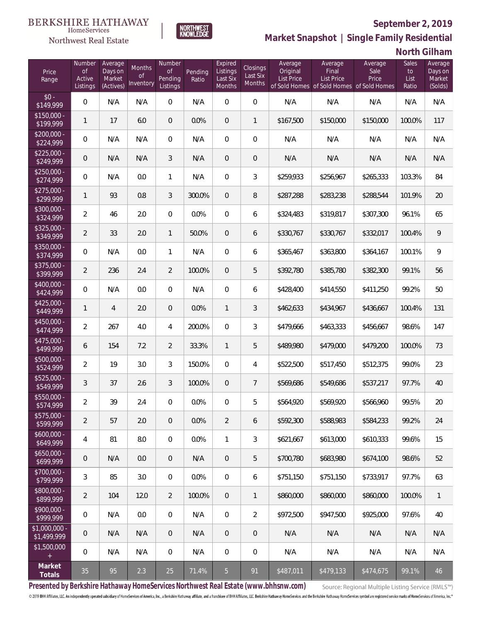

**NORTHWEST**<br>KNOWLEDGE

Northwest Real Estate

**Market Snapshot | Single Family Residential**

**North Gilham**

| Price<br>Range                | Number<br>of<br>Active<br>Listings | Average<br>Days on<br>Market<br>(Actives) | <b>Months</b><br>0f<br>Inventory | Number<br><b>of</b><br>Pending<br>Listings | Pending<br>Ratio | Expired<br>Listings<br>Last Six<br>Months | Closings<br>Last Six<br>Months | Average<br>Original<br><b>List Price</b> | Average<br>Final<br>List Price<br>of Sold Homes of Sold Homes of Sold Homes | Average<br>Sale<br>Price | Sales<br>to<br>List<br>Ratio | Average<br>Days on<br>Market<br>(Solds) |
|-------------------------------|------------------------------------|-------------------------------------------|----------------------------------|--------------------------------------------|------------------|-------------------------------------------|--------------------------------|------------------------------------------|-----------------------------------------------------------------------------|--------------------------|------------------------------|-----------------------------------------|
| $$0 -$<br>\$149,999           | $\overline{0}$                     | N/A                                       | N/A                              | $\overline{0}$                             | N/A              | $\Omega$                                  | $\overline{0}$                 | N/A                                      | N/A                                                                         | N/A                      | N/A                          | N/A                                     |
| $$150,000 -$<br>\$199,999     | 1                                  | 17                                        | 6.0                              | $\overline{0}$                             | 0.0%             | $\overline{0}$                            | 1                              | \$167,500                                | \$150,000                                                                   | \$150,000                | 100.0%                       | 117                                     |
| $$200,000 -$<br>\$224,999     | 0                                  | N/A                                       | N/A                              | $\overline{0}$                             | N/A              | $\overline{0}$                            | $\overline{0}$                 | N/A                                      | N/A                                                                         | N/A                      | N/A                          | N/A                                     |
| $$225,000 -$<br>\$249,999     | 0                                  | N/A                                       | N/A                              | 3                                          | N/A              | $\overline{0}$                            | $\mathbf 0$                    | N/A                                      | N/A                                                                         | N/A                      | N/A                          | N/A                                     |
| $$250,000 -$<br>\$274,999     | $\overline{0}$                     | N/A                                       | 0.0                              | $\mathbf{1}$                               | N/A              | $\overline{0}$                            | 3                              | \$259,933                                | \$256,967                                                                   | \$265,333                | 103.3%                       | 84                                      |
| $$275,000 -$<br>\$299,999     | 1                                  | 93                                        | 0.8                              | 3                                          | 300.0%           | $\overline{0}$                            | 8                              | \$287,288                                | \$283,238                                                                   | \$288,544                | 101.9%                       | 20                                      |
| \$300,000 -<br>\$324,999      | $\overline{2}$                     | 46                                        | 2.0                              | $\overline{0}$                             | 0.0%             | $\overline{0}$                            | 6                              | \$324,483                                | \$319,817                                                                   | \$307,300                | 96.1%                        | 65                                      |
| $$325,000 -$<br>\$349,999     | $\overline{2}$                     | 33                                        | 2.0                              | $\mathbf{1}$                               | 50.0%            | $\overline{0}$                            | 6                              | \$330,767                                | \$330,767                                                                   | \$332,017                | 100.4%                       | 9                                       |
| \$350,000 -<br>\$374,999      | $\overline{0}$                     | N/A                                       | 0.0                              | $\mathbf{1}$                               | N/A              | $\overline{0}$                            | 6                              | \$365,467                                | \$363,800                                                                   | \$364,167                | 100.1%                       | 9                                       |
| \$375,000 -<br>\$399,999      | $\overline{2}$                     | 236                                       | 2.4                              | $\overline{2}$                             | 100.0%           | $\overline{0}$                            | 5                              | \$392,780                                | \$385,780                                                                   | \$382,300                | 99.1%                        | 56                                      |
| \$400,000 -<br>\$424,999      | $\overline{0}$                     | N/A                                       | 0.0                              | $\overline{0}$                             | N/A              | $\overline{0}$                            | 6                              | \$428,400                                | \$414,550                                                                   | \$411,250                | 99.2%                        | 50                                      |
| $$425,000 -$<br>\$449,999     | 1                                  | $\overline{4}$                            | 2.0                              | $\overline{0}$                             | 0.0%             | $\mathbf{1}$                              | 3                              | \$462,633                                | \$434,967                                                                   | \$436,667                | 100.4%                       | 131                                     |
| \$450,000 -<br>\$474,999      | $\overline{2}$                     | 267                                       | 4.0                              | 4                                          | 200.0%           | $\overline{0}$                            | $\mathfrak{Z}$                 | \$479,666                                | \$463,333                                                                   | \$456,667                | 98.6%                        | 147                                     |
| $$475,000 -$<br>\$499,999     | 6                                  | 154                                       | 7.2                              | $\overline{2}$                             | 33.3%            | $\mathbf{1}$                              | 5                              | \$489,980                                | \$479,000                                                                   | \$479,200                | 100.0%                       | 73                                      |
| $$500,000 -$<br>\$524,999     | $\overline{2}$                     | 19                                        | 3.0                              | 3                                          | 150.0%           | $\overline{0}$                            | 4                              | \$522,500                                | \$517,450                                                                   | \$512,375                | 99.0%                        | 23                                      |
| $$525,000 -$<br>\$549,999     | 3                                  | 37                                        | 2.6                              | 3                                          | 100.0%           | $\overline{0}$                            | $\overline{7}$                 | \$569,686                                | \$549,686                                                                   | \$537,217                | 97.7%                        | 40                                      |
| \$550,000 -<br>\$574,999      | $\overline{2}$                     | 39                                        | 2.4                              | $\mathbf{0}$                               | 0.0%             | 0                                         | 5                              | \$564,920                                | \$569,920                                                                   | \$566,960                | 99.5%                        | 20                                      |
| $$575,000 -$<br>\$599,999     | $\overline{2}$                     | 57                                        | 2.0                              | $\theta$                                   | 0.0%             | 2                                         | 6                              | \$592,300                                | \$588,983                                                                   | \$584,233                | 99.2%                        | 24                                      |
| $$600,000 -$<br>\$649,999     | 4                                  | 81                                        | 8.0                              | 0                                          | 0.0%             | $\mathbf{1}$                              | 3                              | \$621,667                                | \$613,000                                                                   | \$610,333                | 99.6%                        | 15                                      |
| $$650,000 -$<br>\$699,999     | 0                                  | N/A                                       | 0.0                              | $\overline{0}$                             | N/A              | $\theta$                                  | 5                              | \$700,780                                | \$683,980                                                                   | \$674,100                | 98.6%                        | 52                                      |
| $$700,000 -$<br>\$799,999     | 3                                  | 85                                        | 3.0                              | 0                                          | 0.0%             | $\overline{0}$                            | 6                              | \$751,150                                | \$751,150                                                                   | \$733,917                | 97.7%                        | 63                                      |
| $$800,000 -$<br>\$899,999     | $\overline{2}$                     | 104                                       | 12.0                             | $\overline{2}$                             | 100.0%           | $\overline{0}$                            | $\mathbf{1}$                   | \$860,000                                | \$860,000                                                                   | \$860,000                | 100.0%                       | 1                                       |
| $$900,000 -$<br>\$999,999     | $\mathbf 0$                        | N/A                                       | 0.0                              | $\boldsymbol{0}$                           | N/A              | $\boldsymbol{0}$                          | $\overline{2}$                 | \$972,500                                | \$947,500                                                                   | \$925,000                | 97.6%                        | 40                                      |
| $$1,000,000 -$<br>\$1,499,999 | $\mathbf 0$                        | N/A                                       | N/A                              | $\overline{0}$                             | N/A              | $\theta$                                  | $\theta$                       | N/A                                      | N/A                                                                         | N/A                      | N/A                          | N/A                                     |
| \$1,500,000<br>$+$            | 0                                  | N/A                                       | N/A                              | $\boldsymbol{0}$                           | N/A              | 0                                         | $\mathbf 0$                    | N/A                                      | N/A                                                                         | N/A                      | N/A                          | N/A                                     |
| Market<br>Totals              | 35                                 | 95                                        | 2.3                              | 25                                         | 71.4%            | 5 <sub>o</sub>                            | 91                             | \$487,011                                | \$479,133                                                                   | \$474,675                | 99.1%                        | 46                                      |

**Presented by Berkshire Hathaway HomeServices Northwest Real Estate (www.bhhsnw.com)**

Source: Regional Multiple Listing Service (RMLS™)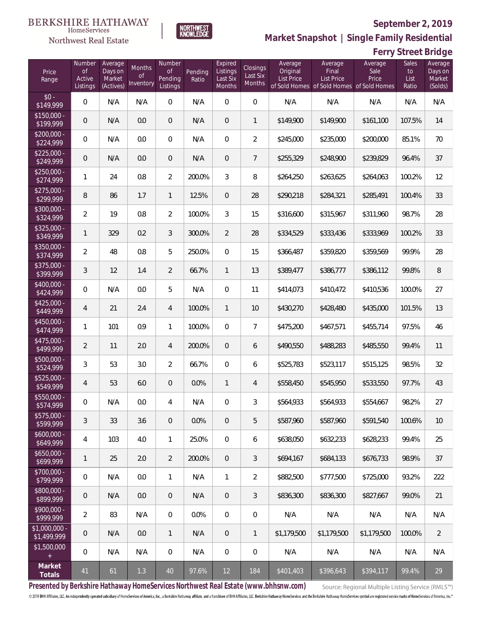**Ferry Street Bridge**



**Market Snapshot | Single Family Residential**

#### HomeServices Northwest Real Estate

| Price<br>Range                | Number<br><b>of</b><br>Active<br>Listings | Average<br>Days on<br>Market<br>(Actives) | Months<br>Οf<br>Inventory | Number<br><b>of</b><br>Pending<br>Listings | Pending<br>Ratio | Expired<br>Listings<br>Last Six<br>Months | Closings<br>Last Six<br>Months | Average<br>Original<br>List Price | Average<br>Final<br>List Price<br>of Sold Homes of Sold Homes of Sold Homes | Average<br>Sale<br>Price | Sales<br>to<br>List<br>Ratio | Average<br>Days on<br>Market<br>(Solds) |
|-------------------------------|-------------------------------------------|-------------------------------------------|---------------------------|--------------------------------------------|------------------|-------------------------------------------|--------------------------------|-----------------------------------|-----------------------------------------------------------------------------|--------------------------|------------------------------|-----------------------------------------|
| $$0 -$<br>\$149,999           | $\overline{0}$                            | N/A                                       | N/A                       | $\overline{0}$                             | N/A              | $\Omega$                                  | $\overline{0}$                 | N/A                               | N/A                                                                         | N/A                      | N/A                          | N/A                                     |
| $$150,000 -$<br>\$199,999     | 0                                         | N/A                                       | 0.0                       | $\overline{0}$                             | N/A              | $\overline{0}$                            | $\mathbf{1}$                   | \$149,900                         | \$149,900                                                                   | \$161,100                | 107.5%                       | 14                                      |
| $$200,000 -$<br>\$224,999     | 0                                         | N/A                                       | 0.0                       | $\overline{0}$                             | N/A              | $\overline{0}$                            | $\overline{2}$                 | \$245,000                         | \$235,000                                                                   | \$200,000                | 85.1%                        | 70                                      |
| $$225,000 -$<br>\$249,999     | 0                                         | N/A                                       | 0.0                       | $\overline{0}$                             | N/A              | $\overline{0}$                            | $7\overline{ }$                | \$255,329                         | \$248,900                                                                   | \$239,829                | 96.4%                        | 37                                      |
| $$250,000 -$<br>\$274,999     | 1                                         | 24                                        | 0.8                       | $\overline{2}$                             | 200.0%           | 3                                         | 8                              | \$264,250                         | \$263,625                                                                   | \$264,063                | 100.2%                       | 12                                      |
| $$275,000 -$<br>\$299,999     | 8                                         | 86                                        | 1.7                       | $\mathbf{1}$                               | 12.5%            | $\overline{0}$                            | 28                             | \$290,218                         | \$284,321                                                                   | \$285,491                | 100.4%                       | 33                                      |
| $$300,000 -$<br>\$324,999     | $\overline{2}$                            | 19                                        | 0.8                       | $\overline{2}$                             | 100.0%           | 3                                         | 15                             | \$316,600                         | \$315,967                                                                   | \$311,960                | 98.7%                        | 28                                      |
| \$325,000 -<br>\$349,999      | 1                                         | 329                                       | 0.2                       | 3                                          | 300.0%           | $\overline{2}$                            | 28                             | \$334,529                         | \$333,436                                                                   | \$333,969                | 100.2%                       | 33                                      |
| \$350,000 -<br>\$374,999      | $\overline{2}$                            | 48                                        | 0.8                       | 5                                          | 250.0%           | $\overline{0}$                            | 15                             | \$366,487                         | \$359,820                                                                   | \$359,569                | 99.9%                        | 28                                      |
| \$375,000 -<br>\$399,999      | 3                                         | 12                                        | 1.4                       | $\overline{2}$                             | 66.7%            | $\mathbf{1}$                              | 13                             | \$389,477                         | \$386,777                                                                   | \$386,112                | 99.8%                        | $8\,$                                   |
| \$400,000 -<br>\$424,999      | 0                                         | N/A                                       | 0.0                       | 5                                          | N/A              | $\overline{0}$                            | 11                             | \$414,073                         | \$410,472                                                                   | \$410,536                | 100.0%                       | 27                                      |
| $$425,000 -$<br>\$449,999     | 4                                         | 21                                        | 2.4                       | $\overline{4}$                             | 100.0%           | $\mathbf{1}$                              | 10                             | \$430,270                         | \$428,480                                                                   | \$435,000                | 101.5%                       | 13                                      |
| \$450,000 -<br>\$474,999      | 1                                         | 101                                       | 0.9                       | $\mathbf{1}$                               | 100.0%           | $\overline{0}$                            | $\overline{7}$                 | \$475,200                         | \$467,571                                                                   | \$455,714                | 97.5%                        | 46                                      |
| $$475,000 -$<br>\$499,999     | $\overline{2}$                            | 11                                        | 2.0                       | 4                                          | 200.0%           | $\overline{0}$                            | 6                              | \$490,550                         | \$488,283                                                                   | \$485,550                | 99.4%                        | 11                                      |
| $$500,000 -$<br>\$524,999     | 3                                         | 53                                        | 3.0                       | $\overline{2}$                             | 66.7%            | $\overline{0}$                            | 6                              | \$525,783                         | \$523,117                                                                   | \$515,125                | 98.5%                        | 32                                      |
| $$525,000 -$<br>\$549,999     | 4                                         | 53                                        | 6.0                       | $\overline{0}$                             | 0.0%             | $\mathbf{1}$                              | $\overline{4}$                 | \$558,450                         | \$545,950                                                                   | \$533,550                | 97.7%                        | 43                                      |
| \$550,000 -<br>\$574,999      | 0                                         | N/A                                       | $0.0\,$                   | 4                                          | N/A              | 0                                         | 3                              | \$564,933                         | \$564,933                                                                   | \$554,667                | 98.2%                        | 27                                      |
| $$575,000 -$<br>\$599,999     | 3                                         | 33                                        | 3.6                       | $\overline{0}$                             | 0.0%             | $\mathbf 0$                               | 5                              | \$587,960                         | \$587,960                                                                   | \$591,540                | 100.6%                       | 10                                      |
| $$600,000 -$<br>\$649,999     | 4                                         | 103                                       | 4.0                       | $\mathbf{1}$                               | 25.0%            | $\overline{0}$                            | 6                              | \$638,050                         | \$632,233                                                                   | \$628,233                | 99.4%                        | 25                                      |
| $$650,000 -$<br>\$699,999     | 1                                         | 25                                        | 2.0                       | $\overline{2}$                             | 200.0%           | $\overline{0}$                            | 3                              | \$694,167                         | \$684,133                                                                   | \$676.733                | 98.9%                        | 37                                      |
| \$700,000 -<br>\$799,999      | 0                                         | N/A                                       | 0.0                       | $\mathbf{1}$                               | N/A              | $\mathbf{1}$                              | $\overline{2}$                 | \$882,500                         | \$777,500                                                                   | \$725,000                | 93.2%                        | 222                                     |
| \$800,000 -<br>\$899,999      | 0                                         | N/A                                       | 0.0                       | $\overline{0}$                             | N/A              | $\mathbf 0$                               | $\mathfrak{Z}$                 | \$836,300                         | \$836,300                                                                   | \$827,667                | 99.0%                        | 21                                      |
| $$900,000 -$<br>\$999,999     | 2                                         | 83                                        | N/A                       | $\mathbf 0$                                | 0.0%             | 0                                         | $\mathbf 0$                    | N/A                               | N/A                                                                         | N/A                      | N/A                          | N/A                                     |
| $$1,000,000 -$<br>\$1,499,999 | 0                                         | N/A                                       | 0.0                       | $\mathbf{1}$                               | N/A              | 0                                         | $\mathbf{1}$                   | \$1,179,500                       | \$1,179,500                                                                 | \$1,179,500              | 100.0%                       | $\overline{2}$                          |
| \$1,500,000<br>$+$            | $\overline{0}$                            | N/A                                       | N/A                       | $\boldsymbol{0}$                           | N/A              | $\mathbf 0$                               | $\mathbf 0$                    | N/A                               | N/A                                                                         | N/A                      | N/A                          | N/A                                     |
| Market<br>Totals              | 41                                        | 61                                        | 1.3                       | 40                                         | 97.6%            | 12                                        | 184                            | \$401,403                         | \$396,643                                                                   | \$394,117                | 99.4%                        | 29                                      |

**Presented by Berkshire Hathaway HomeServices Northwest Real Estate (www.bhhsnw.com)**

Source: Regional Multiple Listing Service (RMLS™)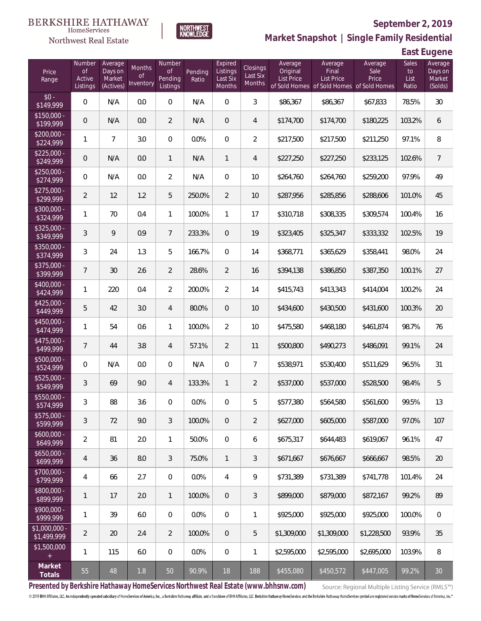#### BERKSHIRE HATHAWAY HomeServices

# Northwest Real Estate



# **September 2, 2019**

**Market Snapshot | Single Family Residential**

**East Eugene**

| Price<br>Range                | Number<br><b>of</b><br>Active<br>Listings | Average<br>Days on<br>Market<br>(Actives) | Months<br>Οf<br>Inventory | Number<br><b>of</b><br>Pending<br>Listings | Pending<br>Ratio | Expired<br>Listings<br>Last Six<br>Months | <b>Closings</b><br>Last Six<br>Months | Average<br>Original<br><b>List Price</b> | Average<br>Final<br>List Price<br>of Sold Homes of Sold Homes of Sold Homes | Average<br>Sale<br>Price | Sales<br>to<br>List<br>Ratio | Average<br>Days on<br>Market<br>(Solds) |
|-------------------------------|-------------------------------------------|-------------------------------------------|---------------------------|--------------------------------------------|------------------|-------------------------------------------|---------------------------------------|------------------------------------------|-----------------------------------------------------------------------------|--------------------------|------------------------------|-----------------------------------------|
| $$0 -$<br>\$149,999           | 0                                         | N/A                                       | 0.0                       | $\overline{0}$                             | N/A              | $\Omega$                                  | 3                                     | \$86,367                                 | \$86,367                                                                    | \$67,833                 | 78.5%                        | 30                                      |
| $$150,000 -$<br>\$199,999     | 0                                         | N/A                                       | 0.0                       | $\overline{2}$                             | N/A              | $\overline{0}$                            | $\overline{4}$                        | \$174,700                                | \$174,700                                                                   | \$180,225                | 103.2%                       | 6                                       |
| $$200,000 -$<br>\$224,999     | 1                                         | $\overline{7}$                            | 3.0                       | $\overline{0}$                             | 0.0%             | $\overline{0}$                            | $\overline{2}$                        | \$217,500                                | \$217,500                                                                   | \$211,250                | 97.1%                        | 8                                       |
| $$225,000 -$<br>\$249,999     | 0                                         | N/A                                       | 0.0                       | $\mathbf{1}$                               | N/A              | $\mathbf{1}$                              | $\overline{4}$                        | \$227,250                                | \$227,250                                                                   | \$233,125                | 102.6%                       | $\overline{7}$                          |
| $$250,000 -$<br>\$274,999     | 0                                         | N/A                                       | 0.0                       | $\overline{2}$                             | N/A              | $\overline{0}$                            | 10                                    | \$264,760                                | \$264,760                                                                   | \$259,200                | 97.9%                        | 49                                      |
| $$275,000 -$<br>\$299,999     | $\overline{2}$                            | 12                                        | 1.2                       | 5                                          | 250.0%           | $\overline{2}$                            | 10                                    | \$287,956                                | \$285,856                                                                   | \$288,606                | 101.0%                       | 45                                      |
| \$300,000 -<br>\$324,999      | 1                                         | 70                                        | 0.4                       | $\mathbf{1}$                               | 100.0%           | $\mathbf{1}$                              | 17                                    | \$310,718                                | \$308,335                                                                   | \$309,574                | 100.4%                       | 16                                      |
| $$325,000 -$<br>\$349,999     | 3                                         | 9                                         | 0.9                       | $\overline{7}$                             | 233.3%           | $\overline{0}$                            | 19                                    | \$323,405                                | \$325,347                                                                   | \$333,332                | 102.5%                       | 19                                      |
| \$350,000 -<br>\$374,999      | 3                                         | 24                                        | 1.3                       | 5                                          | 166.7%           | $\mathbf{0}$                              | 14                                    | \$368,771                                | \$365,629                                                                   | \$358,441                | 98.0%                        | 24                                      |
| \$375,000 -<br>\$399,999      | $\overline{7}$                            | 30                                        | 2.6                       | $\overline{2}$                             | 28.6%            | $\overline{2}$                            | 16                                    | \$394,138                                | \$386,850                                                                   | \$387,350                | 100.1%                       | 27                                      |
| \$400,000 -<br>\$424,999      | 1                                         | 220                                       | 0.4                       | $\overline{2}$                             | 200.0%           | $\overline{2}$                            | 14                                    | \$415,743                                | \$413,343                                                                   | \$414,004                | 100.2%                       | 24                                      |
| $$425,000 -$<br>\$449,999     | 5                                         | 42                                        | 3.0                       | $\overline{4}$                             | 80.0%            | $\overline{0}$                            | 10                                    | \$434,600                                | \$430,500                                                                   | \$431,600                | 100.3%                       | 20                                      |
| \$450,000 -<br>\$474,999      | 1                                         | 54                                        | 0.6                       | $\mathbf{1}$                               | 100.0%           | $\overline{2}$                            | 10                                    | \$475,580                                | \$468,180                                                                   | \$461,874                | 98.7%                        | 76                                      |
| $$475,000 -$<br>\$499,999     | 7                                         | 44                                        | 3.8                       | $\overline{4}$                             | 57.1%            | $\overline{2}$                            | 11                                    | \$500,800                                | \$490,273                                                                   | \$486,091                | 99.1%                        | 24                                      |
| $$500,000 -$<br>\$524,999     | 0                                         | N/A                                       | 0.0                       | $\overline{0}$                             | N/A              | $\overline{0}$                            | $\overline{7}$                        | \$538,971                                | \$530,400                                                                   | \$511,629                | 96.5%                        | 31                                      |
| $$525,000 -$<br>\$549,999     | 3                                         | 69                                        | 9.0                       | $\overline{4}$                             | 133.3%           | $\mathbf{1}$                              | $\overline{2}$                        | \$537,000                                | \$537,000                                                                   | \$528,500                | 98.4%                        | 5                                       |
| \$550,000 -<br>\$574,999      | 3                                         | 88                                        | 3.6                       | 0                                          | 0.0%             | $\overline{0}$                            | 5                                     | \$577,380                                | \$564,580                                                                   | \$561,600                | 99.5%                        | 13                                      |
| \$575,000 -<br>\$599,999      | 3                                         | 72                                        | 9.0                       | 3                                          | 100.0%           | $\overline{0}$                            | $\overline{2}$                        | \$627,000                                | \$605,000                                                                   | \$587,000                | 97.0%                        | 107                                     |
| $$600,000 -$<br>\$649,999     | 2                                         | 81                                        | 2.0                       | $\mathbf{1}$                               | 50.0%            | $\mathbf 0$                               | 6                                     | \$675,317                                | \$644,483                                                                   | \$619,067                | 96.1%                        | 47                                      |
| $$650,000 -$<br>\$699,999     | $\overline{4}$                            | 36                                        | 8.0                       | 3                                          | 75.0%            | $\mathbf{1}$                              | 3                                     | \$671,667                                | \$676,667                                                                   | \$666,667                | 98.5%                        | 20                                      |
| $$700,000 -$<br>\$799,999     | 4                                         | 66                                        | 2.7                       | $\overline{0}$                             | 0.0%             | 4                                         | 9                                     | \$731,389                                | \$731,389                                                                   | \$741,778                | 101.4%                       | 24                                      |
| $$800,000 -$<br>\$899,999     | 1                                         | 17                                        | 2.0                       | $\mathbf{1}$                               | 100.0%           | $\overline{0}$                            | 3                                     | \$899,000                                | \$879,000                                                                   | \$872,167                | 99.2%                        | 89                                      |
| $$900,000 -$<br>\$999,999     | 1                                         | 39                                        | 6.0                       | $\overline{0}$                             | 0.0%             | $\mathbf 0$                               | 1                                     | \$925,000                                | \$925,000                                                                   | \$925,000                | 100.0%                       | $\mathbf 0$                             |
| $$1,000,000 -$<br>\$1,499,999 | $\overline{2}$                            | 20                                        | 2.4                       | $\overline{2}$                             | 100.0%           | $\overline{0}$                            | 5                                     | \$1,309,000                              | \$1,309,000                                                                 | \$1,228,500              | 93.9%                        | 35                                      |
| \$1,500,000<br>$+$            | 1                                         | 115                                       | 6.0                       | $\mathbf 0$                                | 0.0%             | $\boldsymbol{0}$                          | $\mathbf{1}$                          | \$2,595,000                              | \$2,595,000                                                                 | \$2,695,000              | 103.9%                       | 8                                       |
| Market<br>Totals              | 55                                        | 48                                        | 1.8                       | 50                                         | 90.9%            | 18                                        | 188                                   | \$455,080                                | \$450,572                                                                   | \$447,005                | 99.2%                        | 30                                      |

**Presented by Berkshire Hathaway HomeServices Northwest Real Estate (www.bhhsnw.com)**

Source: Regional Multiple Listing Service (RMLS™)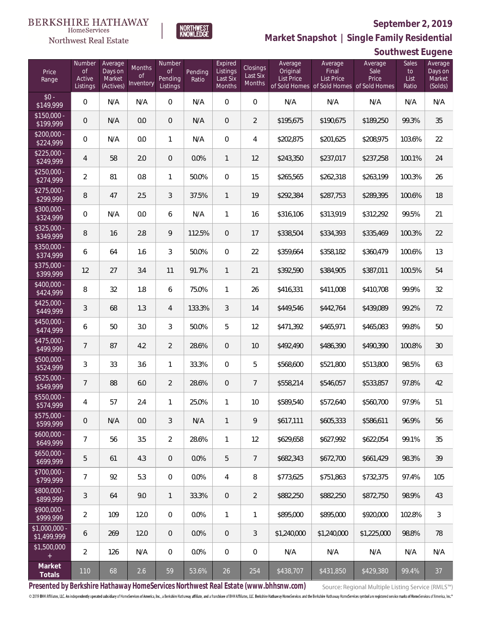

HomeServices Northwest Real Estate

**Market Snapshot | Single Family Residential**

# **Southwest Eugene**

| Price<br>Range                | Number<br>of<br>Active<br>Listings | Average<br>Days on<br>Market<br>(Actives) | Months<br>Οf<br>Inventory | Number<br><b>of</b><br>Pending<br>Listings | Pending<br>Ratio | Expired<br>Listings<br>Last Six<br>Months | Closings<br>Last Six<br>Months | Average<br>Original<br><b>List Price</b> | Average<br>Final<br>List Price | Average<br>Sale<br>Price<br>of Sold Homes of Sold Homes of Sold Homes | Sales<br>to<br>List<br>Ratio | Average<br>Days on<br>Market<br>(Solds) |
|-------------------------------|------------------------------------|-------------------------------------------|---------------------------|--------------------------------------------|------------------|-------------------------------------------|--------------------------------|------------------------------------------|--------------------------------|-----------------------------------------------------------------------|------------------------------|-----------------------------------------|
| $$0 -$<br>\$149,999           | $\overline{0}$                     | N/A                                       | N/A                       | $\overline{0}$                             | N/A              | $\overline{0}$                            | $\overline{0}$                 | N/A                                      | N/A                            | N/A                                                                   | N/A                          | N/A                                     |
| $$150,000 -$<br>\$199,999     | 0                                  | N/A                                       | 0.0                       | $\overline{0}$                             | N/A              | $\overline{0}$                            | $\overline{2}$                 | \$195,675                                | \$190,675                      | \$189,250                                                             | 99.3%                        | 35                                      |
| $$200,000 -$<br>\$224,999     | $\overline{0}$                     | N/A                                       | 0.0                       | $\mathbf{1}$                               | N/A              | $\overline{0}$                            | $\overline{4}$                 | \$202,875                                | \$201,625                      | \$208,975                                                             | 103.6%                       | 22                                      |
| $$225,000 -$<br>\$249,999     | 4                                  | 58                                        | 2.0                       | $\overline{0}$                             | 0.0%             | $\mathbf{1}$                              | 12                             | \$243,350                                | \$237,017                      | \$237,258                                                             | 100.1%                       | 24                                      |
| $$250,000 -$<br>\$274,999     | $\overline{2}$                     | 81                                        | 0.8                       | $\mathbf{1}$                               | 50.0%            | $\overline{0}$                            | 15                             | \$265,565                                | \$262,318                      | \$263,199                                                             | 100.3%                       | 26                                      |
| $$275,000 -$<br>\$299,999     | 8                                  | 47                                        | 2.5                       | 3                                          | 37.5%            | $\mathbf{1}$                              | 19                             | \$292,384                                | \$287,753                      | \$289,395                                                             | 100.6%                       | 18                                      |
| $$300,000 -$<br>\$324,999     | $\overline{0}$                     | N/A                                       | 0.0                       | 6                                          | N/A              | $\mathbf{1}$                              | 16                             | \$316,106                                | \$313,919                      | \$312,292                                                             | 99.5%                        | 21                                      |
| $$325,000 -$<br>\$349,999     | 8                                  | 16                                        | 2.8                       | 9                                          | 112.5%           | $\overline{0}$                            | 17                             | \$338,504                                | \$334,393                      | \$335,469                                                             | 100.3%                       | 22                                      |
| $$350,000 -$<br>\$374,999     | 6                                  | 64                                        | 1.6                       | 3                                          | 50.0%            | $\overline{0}$                            | 22                             | \$359,664                                | \$358,182                      | \$360,479                                                             | 100.6%                       | 13                                      |
| $$375,000 -$<br>\$399,999     | 12                                 | 27                                        | 3.4                       | 11                                         | 91.7%            | $\mathbf{1}$                              | 21                             | \$392,590                                | \$384,905                      | \$387,011                                                             | 100.5%                       | 54                                      |
| $$400,000 -$<br>\$424,999     | 8                                  | 32                                        | 1.8                       | 6                                          | 75.0%            | $\mathbf{1}$                              | 26                             | \$416,331                                | \$411,008                      | \$410,708                                                             | 99.9%                        | 32                                      |
| $$425,000 -$<br>\$449,999     | 3                                  | 68                                        | 1.3                       | 4                                          | 133.3%           | $\mathfrak{Z}$                            | 14                             | \$449,546                                | \$442,764                      | \$439,089                                                             | 99.2%                        | 72                                      |
| $$450,000 -$<br>\$474,999     | 6                                  | 50                                        | 3.0                       | 3                                          | 50.0%            | 5                                         | 12                             | \$471,392                                | \$465,971                      | \$465,083                                                             | 99.8%                        | 50                                      |
| $$475,000 -$<br>\$499,999     | $\overline{7}$                     | 87                                        | 4.2                       | $\overline{2}$                             | 28.6%            | $\overline{0}$                            | 10                             | \$492,490                                | \$486,390                      | \$490,390                                                             | 100.8%                       | 30                                      |
| $$500,000 -$<br>\$524,999     | 3                                  | 33                                        | 3.6                       | $\mathbf{1}$                               | 33.3%            | $\overline{0}$                            | 5                              | \$568,600                                | \$521,800                      | \$513,800                                                             | 98.5%                        | 63                                      |
| \$525,000 -<br>\$549,999      | $\overline{7}$                     | 88                                        | 6.0                       | $\overline{2}$                             | 28.6%            | $\overline{0}$                            | $7\phantom{.0}$                | \$558,214                                | \$546,057                      | \$533,857                                                             | 97.8%                        | 42                                      |
| $$550,000 -$<br>\$574,999     | $\overline{4}$                     | 57                                        | 2.4                       | $\mathbf{1}$                               | 25.0%            | $\mathbf{1}$                              | 10                             | \$589,540                                | \$572,640                      | \$560,700                                                             | 97.9%                        | 51                                      |
| $$575,000 -$<br>\$599,999     | 0                                  | N/A                                       | 0.0                       | 3                                          | N/A              | $\mathbf{1}$                              | 9                              | \$617,111                                | \$605,333                      | \$586,611                                                             | 96.9%                        | 56                                      |
| $$600,000 -$<br>\$649,999     | $\overline{7}$                     | 56                                        | 3.5                       | $\overline{2}$                             | 28.6%            | $\mathbf{1}$                              | 12                             | \$629,658                                | \$627,992                      | \$622,054                                                             | 99.1%                        | 35                                      |
| $$650,000 -$<br>\$699,999     | 5                                  | 61                                        | 4.3                       | $\overline{0}$                             | 0.0%             | 5                                         | $\overline{7}$                 | \$682,343                                | \$672,700                      | \$661,429                                                             | 98.3%                        | 39                                      |
| \$700,000 -<br>\$799,999      | $\overline{7}$                     | 92                                        | 5.3                       | $\mathbf 0$                                | 0.0%             | $\overline{4}$                            | 8                              | \$773,625                                | \$751,863                      | \$732,375                                                             | 97.4%                        | 105                                     |
| $$800,000 -$<br>\$899,999     | 3                                  | 64                                        | 9.0                       | $\mathbf{1}$                               | 33.3%            | $\overline{0}$                            | $\overline{2}$                 | \$882,250                                | \$882,250                      | \$872,750                                                             | 98.9%                        | 43                                      |
| $$900,000 -$<br>\$999,999     | $\overline{2}$                     | 109                                       | 12.0                      | $\overline{0}$                             | 0.0%             | $\mathbf{1}$                              | 1                              | \$895,000                                | \$895,000                      | \$920,000                                                             | 102.8%                       | $\sqrt{3}$                              |
| $$1,000,000$ -<br>\$1,499,999 | 6                                  | 269                                       | 12.0                      | $\overline{0}$                             | 0.0%             | $\mathbf 0$                               | $\mathfrak{Z}$                 | \$1,240,000                              | \$1,240,000                    | \$1,225,000                                                           | 98.8%                        | 78                                      |
| \$1,500,000<br>$+$            | $\overline{2}$                     | 126                                       | N/A                       | $\mathbf 0$                                | 0.0%             | $\mathbf 0$                               | $\mathbf 0$                    | N/A                                      | N/A                            | N/A                                                                   | N/A                          | N/A                                     |
| Market<br>Totals              | 110                                | 68                                        | 2.6                       | 59                                         | 53.6%            | 26                                        | 254                            | \$438,707                                | \$431,850                      | \$429,380                                                             | 99.4%                        | 37                                      |

**Presented by Berkshire Hathaway HomeServices Northwest Real Estate (www.bhhsnw.com)**

Source: Regional Multiple Listing Service (RMLS™)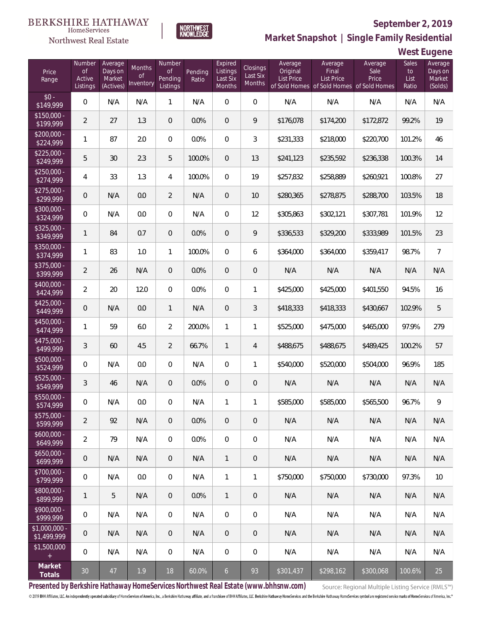

HomeServices Northwest Real Estate

**Market Snapshot | Single Family Residential**

## **West Eugene**

| Price<br>Range               | Number<br>of<br>Active<br>Listings | Average<br>Days on<br>Market<br>(Actives) | <b>Months</b><br>0f<br>Inventory | Number<br>Οf<br>Pending<br>Listings | Pending<br>Ratio | Expired<br>Listings<br>Last Six<br>Months | <b>Closings</b><br>Last Six<br>Months | Average<br>Original<br><b>List Price</b> | Average<br>Final<br><b>List Price</b><br>of Sold Homes of Sold Homes of Sold Homes | Average<br>Sale<br>Price | Sales<br>to<br>List<br>Ratio | Average<br>Days on<br>Market<br>(Solds) |
|------------------------------|------------------------------------|-------------------------------------------|----------------------------------|-------------------------------------|------------------|-------------------------------------------|---------------------------------------|------------------------------------------|------------------------------------------------------------------------------------|--------------------------|------------------------------|-----------------------------------------|
| $$0 -$<br>\$149,999          | $\overline{0}$                     | N/A                                       | N/A                              | $\mathbf{1}$                        | N/A              | $\Omega$                                  | $\overline{0}$                        | N/A                                      | N/A                                                                                | N/A                      | N/A                          | N/A                                     |
| $$150,000 -$<br>\$199,999    | $\overline{2}$                     | 27                                        | 1.3                              | $\overline{0}$                      | 0.0%             | $\overline{0}$                            | 9                                     | \$176,078                                | \$174,200                                                                          | \$172,872                | 99.2%                        | 19                                      |
| $$200,000 -$<br>\$224,999    | 1                                  | 87                                        | 2.0                              | $\overline{0}$                      | 0.0%             | $\overline{0}$                            | 3                                     | \$231,333                                | \$218,000                                                                          | \$220,700                | 101.2%                       | 46                                      |
| $$225,000 -$<br>\$249,999    | 5                                  | 30                                        | 2.3                              | 5                                   | 100.0%           | $\overline{0}$                            | 13                                    | \$241,123                                | \$235,592                                                                          | \$236,338                | 100.3%                       | 14                                      |
| $$250,000 -$<br>\$274,999    | 4                                  | 33                                        | 1.3                              | $\overline{4}$                      | 100.0%           | $\Omega$                                  | 19                                    | \$257,832                                | \$258,889                                                                          | \$260,921                | 100.8%                       | 27                                      |
| $$275,000 -$<br>\$299,999    | 0                                  | N/A                                       | 0.0                              | $\overline{2}$                      | N/A              | $\overline{0}$                            | 10                                    | \$280,365                                | \$278,875                                                                          | \$288,700                | 103.5%                       | 18                                      |
| $$300,000 -$<br>\$324,999    | 0                                  | N/A                                       | 0.0                              | $\overline{0}$                      | N/A              | $\Omega$                                  | 12                                    | \$305,863                                | \$302,121                                                                          | \$307,781                | 101.9%                       | 12                                      |
| $$325,000 -$<br>\$349,999    | 1                                  | 84                                        | 0.7                              | $\overline{0}$                      | 0.0%             | $\Omega$                                  | 9                                     | \$336,533                                | \$329,200                                                                          | \$333,989                | 101.5%                       | 23                                      |
| $$350,000 -$<br>\$374,999    | 1                                  | 83                                        | 1.0                              | $\mathbf{1}$                        | 100.0%           | $\Omega$                                  | 6                                     | \$364,000                                | \$364,000                                                                          | \$359,417                | 98.7%                        | $\overline{7}$                          |
| $$375,000 -$<br>\$399,999    | $\overline{2}$                     | 26                                        | N/A                              | $\overline{0}$                      | 0.0%             | $\Omega$                                  | $\overline{0}$                        | N/A                                      | N/A                                                                                | N/A                      | N/A                          | N/A                                     |
| $$400,000 -$<br>\$424,999    | $\overline{a}$                     | 20                                        | 12.0                             | $\overline{0}$                      | 0.0%             | $\Omega$                                  | $\mathbf{1}$                          | \$425,000                                | \$425,000                                                                          | \$401,550                | 94.5%                        | 16                                      |
| $$425,000 -$<br>\$449,999    | 0                                  | N/A                                       | 0.0                              | $\mathbf{1}$                        | N/A              | $\Omega$                                  | 3                                     | \$418,333                                | \$418,333                                                                          | \$430,667                | 102.9%                       | 5                                       |
| \$450,000 -<br>\$474,999     | 1                                  | 59                                        | 6.0                              | $\overline{2}$                      | 200.0%           | $\mathbf{1}$                              | 1                                     | \$525,000                                | \$475,000                                                                          | \$465,000                | 97.9%                        | 279                                     |
| $$475,000 -$<br>\$499,999    | 3                                  | 60                                        | 4.5                              | $\overline{2}$                      | 66.7%            | $\mathbf{1}$                              | $\overline{4}$                        | \$488,675                                | \$488,675                                                                          | \$489,425                | 100.2%                       | 57                                      |
| $$500,000 -$<br>\$524,999    | $\overline{0}$                     | N/A                                       | 0.0                              | $\overline{0}$                      | N/A              | $\Omega$                                  | 1                                     | \$540,000                                | \$520,000                                                                          | \$504,000                | 96.9%                        | 185                                     |
| $$525,000 -$<br>\$549,999    | 3                                  | 46                                        | N/A                              | $\overline{0}$                      | 0.0%             | $\overline{0}$                            | $\theta$                              | N/A                                      | N/A                                                                                | N/A                      | N/A                          | N/A                                     |
| \$550,000 -<br>\$574,999     | 0                                  | N/A                                       | 0.0                              | $\mathbf{0}$                        | N/A              | 1                                         | 1                                     | \$585,000                                | \$585,000                                                                          | \$565,500                | 96.7%                        | 9                                       |
| $$575,000 -$<br>\$599,999    | $\overline{2}$                     | 92                                        | N/A                              | $\theta$                            | 0.0%             | $\mathbf 0$                               | $\theta$                              | N/A                                      | N/A                                                                                | N/A                      | N/A                          | N/A                                     |
| $$600,000 -$<br>\$649,999    | $\overline{2}$                     | 79                                        | N/A                              | $\boldsymbol{0}$                    | 0.0%             | $\overline{0}$                            | $\mathbf 0$                           | N/A                                      | N/A                                                                                | N/A                      | N/A                          | N/A                                     |
| $$650,000 -$<br>\$699,999    | $\mathbf 0$                        | N/A                                       | N/A                              | $\overline{0}$                      | N/A              | $\mathbf{1}$                              | $\sqrt{2}$                            | N/A                                      | N/A                                                                                | N/A                      | N/A                          | N/A                                     |
| $$700,000 -$<br>\$799,999    | $\boldsymbol{0}$                   | N/A                                       | 0.0                              | $\boldsymbol{0}$                    | N/A              | $\mathbf{1}$                              | $\mathbf{1}$                          | \$750,000                                | \$750,000                                                                          | \$730,000                | 97.3%                        | 10                                      |
| $$800,000 -$<br>\$899,999    | 1                                  | 5                                         | N/A                              | $\overline{0}$                      | 0.0%             | $\mathbf{1}$                              | $\sqrt{2}$                            | N/A                                      | N/A                                                                                | N/A                      | N/A                          | N/A                                     |
| $$900,000 -$<br>\$999,999    | 0                                  | N/A                                       | N/A                              | $\boldsymbol{0}$                    | N/A              | $\boldsymbol{0}$                          | $\mathbf 0$                           | N/A                                      | N/A                                                                                | N/A                      | N/A                          | N/A                                     |
| \$1,000,000 -<br>\$1,499,999 | $\theta$                           | N/A                                       | N/A                              | $\overline{0}$                      | N/A              | 0                                         | $\theta$                              | N/A                                      | N/A                                                                                | N/A                      | N/A                          | N/A                                     |
| \$1,500,000<br>$+$           | $\mathbf 0$                        | N/A                                       | N/A                              | 0                                   | N/A              | 0                                         | $\mathbf 0$                           | N/A                                      | N/A                                                                                | N/A                      | N/A                          | N/A                                     |
| Market<br>Totals             | 30                                 | 47                                        | 1.9                              | 18                                  | 60.0%            | 6 <sup>1</sup>                            | 93                                    | \$301,437                                | \$298,162                                                                          | \$300,068                | 100.6%                       | 25                                      |

**Presented by Berkshire Hathaway HomeServices Northwest Real Estate (www.bhhsnw.com)**

Source: Regional Multiple Listing Service (RMLS™)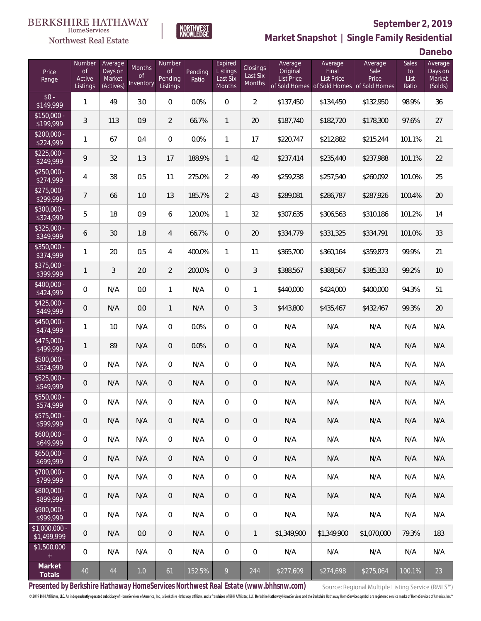#### **BERKSHIRE HATHAWAY** HomeServices

# Northwest Real Estate



# **September 2, 2019**

**Market Snapshot | Single Family Residential**

**Danebo**

| Price<br>Range                | Number<br>of<br>Active<br>Listings | Average<br>Days on<br>Market<br>(Actives) | <b>Months</b><br><b>of</b><br>Inventory | Number<br><b>of</b><br>Pending<br>Listings | Pending<br>Ratio | Expired<br>Listings<br>Last Six<br>Months | Closings<br>Last Six<br>Months | Average<br>Original<br>List Price<br>of Sold Homes | Average<br>Final<br>List Price | Average<br>Sale<br>Price<br>of Sold Homes of Sold Homes | <b>Sales</b><br>to<br>List<br>Ratio | Average<br>Days on<br>Market<br>(Solds) |
|-------------------------------|------------------------------------|-------------------------------------------|-----------------------------------------|--------------------------------------------|------------------|-------------------------------------------|--------------------------------|----------------------------------------------------|--------------------------------|---------------------------------------------------------|-------------------------------------|-----------------------------------------|
| $$0 -$<br>\$149,999           | 1                                  | 49                                        | 3.0                                     | $\overline{0}$                             | 0.0%             | $\Omega$                                  | $\overline{2}$                 | \$137,450                                          | \$134,450                      | \$132,950                                               | 98.9%                               | 36                                      |
| $$150,000 -$<br>\$199,999     | 3                                  | 113                                       | 0.9                                     | $\overline{2}$                             | 66.7%            | $\mathbf{1}$                              | 20                             | \$187,740                                          | \$182,720                      | \$178,300                                               | 97.6%                               | 27                                      |
| $$200,000 -$<br>\$224,999     | 1                                  | 67                                        | 0.4                                     | $\overline{0}$                             | 0.0%             | $\mathbf{1}$                              | 17                             | \$220,747                                          | \$212,882                      | \$215,244                                               | 101.1%                              | 21                                      |
| $$225,000 -$<br>\$249,999     | 9                                  | 32                                        | 1.3                                     | 17                                         | 188.9%           | $\mathbf{1}$                              | 42                             | \$237,414                                          | \$235,440                      | \$237,988                                               | 101.1%                              | 22                                      |
| $$250,000 -$<br>\$274,999     | 4                                  | 38                                        | 0.5                                     | 11                                         | 275.0%           | $\overline{2}$                            | 49                             | \$259,238                                          | \$257,540                      | \$260,092                                               | 101.0%                              | 25                                      |
| $$275,000 -$<br>\$299,999     | $\overline{7}$                     | 66                                        | 1.0                                     | 13                                         | 185.7%           | $\overline{2}$                            | 43                             | \$289,081                                          | \$286,787                      | \$287,926                                               | 100.4%                              | 20                                      |
| \$300,000 -<br>\$324,999      | 5                                  | 18                                        | 0.9                                     | 6                                          | 120.0%           | $\mathbf{1}$                              | 32                             | \$307,635                                          | \$306,563                      | \$310,186                                               | 101.2%                              | 14                                      |
| $$325,000 -$<br>\$349,999     | 6                                  | 30                                        | 1.8                                     | $\overline{4}$                             | 66.7%            | $\overline{0}$                            | 20                             | \$334,779                                          | \$331,325                      | \$334,791                                               | 101.0%                              | 33                                      |
| \$350,000 -<br>\$374,999      | 1                                  | 20                                        | 0.5                                     | 4                                          | 400.0%           | $\mathbf{1}$                              | 11                             | \$365,700                                          | \$360,164                      | \$359,873                                               | 99.9%                               | 21                                      |
| \$375,000 -<br>\$399,999      | 1                                  | 3                                         | 2.0                                     | $\overline{2}$                             | 200.0%           | $\overline{0}$                            | 3                              | \$388,567                                          | \$388,567                      | \$385,333                                               | 99.2%                               | 10                                      |
| \$400,000 -<br>\$424,999      | $\overline{0}$                     | N/A                                       | 0.0                                     | $\mathbf{1}$                               | N/A              | $\overline{0}$                            | $\mathbf{1}$                   | \$440,000                                          | \$424,000                      | \$400,000                                               | 94.3%                               | 51                                      |
| $$425,000 -$<br>\$449,999     | 0                                  | N/A                                       | 0.0                                     | $\mathbf{1}$                               | N/A              | $\overline{0}$                            | 3                              | \$443,800                                          | \$435,467                      | \$432,467                                               | 99.3%                               | 20                                      |
| \$450,000 -<br>\$474,999      | 1                                  | 10                                        | N/A                                     | $\overline{0}$                             | 0.0%             | $\Omega$                                  | $\mathbf 0$                    | N/A                                                | N/A                            | N/A                                                     | N/A                                 | N/A                                     |
| $$475,000 -$<br>\$499,999     | 1                                  | 89                                        | N/A                                     | $\overline{0}$                             | 0.0%             | $\overline{0}$                            | $\sqrt{2}$                     | N/A                                                | N/A                            | N/A                                                     | N/A                                 | N/A                                     |
| $$500,000 -$<br>\$524,999     | $\overline{0}$                     | N/A                                       | N/A                                     | $\overline{0}$                             | N/A              | $\overline{0}$                            | $\mathbf 0$                    | N/A                                                | N/A                            | N/A                                                     | N/A                                 | N/A                                     |
| $$525,000 -$<br>\$549,999     | 0                                  | N/A                                       | N/A                                     | $\overline{0}$                             | N/A              | $\overline{0}$                            | $\theta$                       | N/A                                                | N/A                            | N/A                                                     | N/A                                 | N/A                                     |
| \$550,000 -<br>\$574,999      | 0                                  | N/A                                       | N/A                                     | $\overline{0}$                             | N/A              | $\overline{0}$                            | $\mathbf 0$                    | N/A                                                | N/A                            | N/A                                                     | N/A                                 | N/A                                     |
| $$575,000 -$<br>\$599,999     | 0                                  | N/A                                       | N/A                                     | $\overline{0}$                             | N/A              | $\overline{0}$                            | $\overline{0}$                 | N/A                                                | N/A                            | N/A                                                     | N/A                                 | N/A                                     |
| $$600,000 -$<br>\$649,999     | $\mathbf 0$                        | N/A                                       | N/A                                     | $\mathbf 0$                                | N/A              | $\overline{0}$                            | $\mathbf 0$                    | N/A                                                | N/A                            | N/A                                                     | N/A                                 | N/A                                     |
| $$650,000 -$<br>\$699,999     | 0                                  | N/A                                       | N/A                                     | $\overline{0}$                             | N/A              | $\sqrt{0}$                                | $\sqrt{2}$                     | N/A                                                | N/A                            | N/A                                                     | N/A                                 | N/A                                     |
| $$700,000 -$<br>\$799,999     | $\mathbf 0$                        | N/A                                       | N/A                                     | $\mathbf 0$                                | N/A              | $\mathbf 0$                               | $\mathbf 0$                    | N/A                                                | N/A                            | N/A                                                     | N/A                                 | N/A                                     |
| $$800,000 -$<br>\$899,999     | $\overline{0}$                     | N/A                                       | N/A                                     | $\overline{0}$                             | N/A              | $\sqrt{0}$                                | $\sqrt{2}$                     | N/A                                                | N/A                            | N/A                                                     | N/A                                 | N/A                                     |
| $$900,000 -$<br>\$999,999     | $\mathbf 0$                        | N/A                                       | N/A                                     | $\mathbf 0$                                | N/A              | $\mathbf 0$                               | $\mathbf 0$                    | N/A                                                | N/A                            | N/A                                                     | N/A                                 | N/A                                     |
| $$1,000,000$ -<br>\$1,499,999 | 0                                  | N/A                                       | 0.0                                     | $\overline{0}$                             | N/A              | $\sqrt{0}$                                | $\overline{1}$                 | \$1,349,900                                        | \$1,349,900                    | \$1,070,000                                             | 79.3%                               | 183                                     |
| \$1,500,000<br>$\pm$          | $\mathbf 0$                        | N/A                                       | N/A                                     | $\mathbf 0$                                | N/A              | $\mathbf 0$                               | $\overline{0}$                 | N/A                                                | N/A                            | N/A                                                     | N/A                                 | N/A                                     |
| Market<br>Totals              | 40                                 | 44                                        | $1.0\,$                                 | 61                                         | 152.5%           | 9                                         | 244                            | \$277,609                                          | \$274,698                      | \$275,064                                               | 100.1%                              | 23                                      |

**Presented by Berkshire Hathaway HomeServices Northwest Real Estate (www.bhhsnw.com)**

Source: Regional Multiple Listing Service (RMLS™)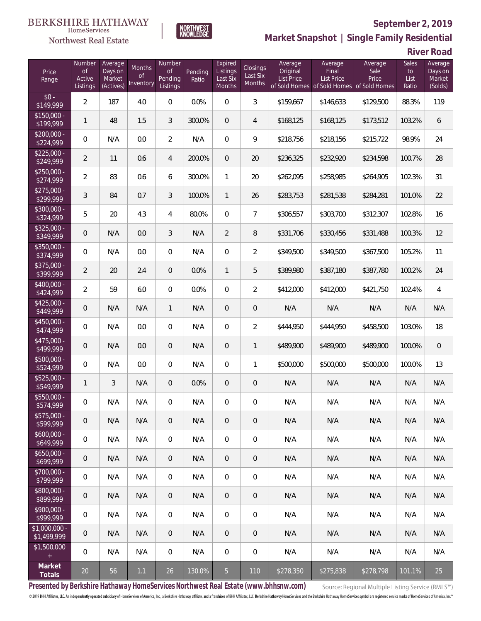#### **BERKSHIRE HATHAWAY**  $\label{lem:sevices} \textsc{Home} \textsc{Service} \textsc{s}$

# Northwest Real Estate



# **September 2, 2019 Market Snapshot | Single Family Residential**

**River Road**

| Price<br>Range                | Number<br><b>of</b><br>Active<br>Listings | Average<br>Days on<br>Market<br>(Actives) | Months<br>Οf<br>Inventory | Number<br><b>of</b><br>Pending<br>Listings | Pending<br>Ratio | Expired<br>Listings<br>Last Six<br>Months | <b>Closings</b><br>Last Six<br>Months | Average<br>Original<br><b>List Price</b> | Average<br>Final<br>List Price<br>of Sold Homes of Sold Homes of Sold Homes | Average<br>Sale<br>Price | Sales<br>to<br>List<br>Ratio | Average<br>Days on<br>Market<br>(Solds) |
|-------------------------------|-------------------------------------------|-------------------------------------------|---------------------------|--------------------------------------------|------------------|-------------------------------------------|---------------------------------------|------------------------------------------|-----------------------------------------------------------------------------|--------------------------|------------------------------|-----------------------------------------|
| $$0 -$<br>\$149,999           | $\overline{2}$                            | 187                                       | 4.0                       | 0                                          | 0.0%             | 0                                         | 3                                     | \$159,667                                | \$146,633                                                                   | \$129,500                | 88.3%                        | 119                                     |
| $$150,000 -$<br>\$199,999     | $\mathbf{1}$                              | 48                                        | 1.5                       | 3                                          | 300.0%           | $\overline{0}$                            | 4                                     | \$168,125                                | \$168,125                                                                   | \$173,512                | 103.2%                       | 6                                       |
| $$200,000 -$<br>\$224,999     | 0                                         | N/A                                       | 0.0                       | $\overline{2}$                             | N/A              | $\overline{0}$                            | 9                                     | \$218,756                                | \$218,156                                                                   | \$215,722                | 98.9%                        | 24                                      |
| $$225,000 -$<br>\$249,999     | $\overline{2}$                            | 11                                        | 0.6                       | $\overline{4}$                             | 200.0%           | $\overline{0}$                            | 20                                    | \$236,325                                | \$232,920                                                                   | \$234,598                | 100.7%                       | 28                                      |
| $$250,000 -$<br>\$274,999     | $\overline{2}$                            | 83                                        | 0.6                       | 6                                          | 300.0%           | 1                                         | 20                                    | \$262,095                                | \$258,985                                                                   | \$264,905                | 102.3%                       | 31                                      |
| $$275,000 -$<br>\$299,999     | 3                                         | 84                                        | 0.7                       | 3                                          | 100.0%           | $\mathbf{1}$                              | 26                                    | \$283,753                                | \$281,538                                                                   | \$284,281                | 101.0%                       | 22                                      |
| $$300,000 -$<br>\$324,999     | 5                                         | 20                                        | 4.3                       | 4                                          | 80.0%            | $\overline{0}$                            | $\overline{7}$                        | \$306,557                                | \$303,700                                                                   | \$312,307                | 102.8%                       | 16                                      |
| \$325,000 -<br>\$349,999      | 0                                         | N/A                                       | 0.0                       | 3                                          | N/A              | $\overline{2}$                            | 8                                     | \$331,706                                | \$330,456                                                                   | \$331,488                | 100.3%                       | 12                                      |
| \$350,000 -<br>\$374,999      | 0                                         | N/A                                       | 0.0                       | $\overline{0}$                             | N/A              | $\overline{0}$                            | $\overline{a}$                        | \$349,500                                | \$349,500                                                                   | \$367,500                | 105.2%                       | 11                                      |
| \$375,000 -<br>\$399,999      | $\overline{2}$                            | 20                                        | 2.4                       | $\overline{0}$                             | 0.0%             | $\mathbf{1}$                              | 5                                     | \$389,980                                | \$387,180                                                                   | \$387,780                | 100.2%                       | 24                                      |
| \$400,000 -<br>\$424,999      | $\overline{2}$                            | 59                                        | 6.0                       | $\overline{0}$                             | 0.0%             | $\overline{0}$                            | $\overline{2}$                        | \$412,000                                | \$412,000                                                                   | \$421,750                | 102.4%                       | $\overline{4}$                          |
| $$425,000 -$<br>\$449,999     | 0                                         | N/A                                       | N/A                       | $\mathbf{1}$                               | N/A              | $\overline{0}$                            | $\mathbf 0$                           | N/A                                      | N/A                                                                         | N/A                      | N/A                          | N/A                                     |
| \$450,000 -<br>\$474,999      | $\boldsymbol{0}$                          | N/A                                       | 0.0                       | $\overline{0}$                             | N/A              | $\overline{0}$                            | $\overline{2}$                        | \$444,950                                | \$444,950                                                                   | \$458,500                | 103.0%                       | 18                                      |
| \$475,000 -<br>\$499,999      | 0                                         | N/A                                       | 0.0                       | $\overline{0}$                             | N/A              | $\overline{0}$                            | $\mathbf{1}$                          | \$489,900                                | \$489,900                                                                   | \$489,900                | 100.0%                       | $\mathbf 0$                             |
| $$500,000 -$<br>\$524,999     | $\boldsymbol{0}$                          | N/A                                       | 0.0                       | $\overline{0}$                             | N/A              | $\overline{0}$                            | $\mathbf{1}$                          | \$500,000                                | \$500,000                                                                   | \$500,000                | 100.0%                       | 13                                      |
| $$525,000 -$<br>\$549,999     | $\mathbf{1}$                              | 3                                         | N/A                       | $\overline{0}$                             | 0.0%             | $\overline{0}$                            | $\mathbf 0$                           | N/A                                      | N/A                                                                         | N/A                      | N/A                          | N/A                                     |
| \$550,000 -<br>\$574,999      | 0                                         | N/A                                       | N/A                       | 0                                          | N/A              | 0                                         | $\mathbf 0$                           | N/A                                      | N/A                                                                         | N/A                      | N/A                          | N/A                                     |
| $$575,000 -$<br>\$599,999     | 0                                         | N/A                                       | N/A                       | 0                                          | N/A              | $\overline{0}$                            | $\sqrt{0}$                            | N/A                                      | N/A                                                                         | N/A                      | N/A                          | N/A                                     |
| $$600,000 -$<br>\$649,999     | 0                                         | N/A                                       | N/A                       | $\overline{0}$                             | N/A              | $\overline{0}$                            | $\mathbf 0$                           | N/A                                      | N/A                                                                         | N/A                      | N/A                          | N/A                                     |
| $$650,000 -$<br>\$699,999     | 0                                         | N/A                                       | N/A                       | $\overline{0}$                             | N/A              | $\overline{0}$                            | $\sqrt{0}$                            | N/A                                      | N/A                                                                         | N/A                      | N/A                          | N/A                                     |
| $$700,000 -$<br>\$799,999     | 0                                         | N/A                                       | N/A                       | $\overline{0}$                             | N/A              | $\mathbf 0$                               | $\mathbf 0$                           | N/A                                      | N/A                                                                         | N/A                      | N/A                          | N/A                                     |
| \$800,000 -<br>\$899,999      | 0                                         | N/A                                       | N/A                       | $\overline{0}$                             | N/A              | $\overline{0}$                            | $\sqrt{0}$                            | N/A                                      | N/A                                                                         | N/A                      | N/A                          | N/A                                     |
| \$900,000 -<br>\$999,999      | 0                                         | N/A                                       | N/A                       | $\overline{0}$                             | N/A              | $\mathbf 0$                               | $\mathbf 0$                           | N/A                                      | N/A                                                                         | N/A                      | N/A                          | N/A                                     |
| $$1,000,000$ -<br>\$1,499,999 | $\theta$                                  | N/A                                       | N/A                       | $\overline{0}$                             | N/A              | $\overline{0}$                            | $\overline{0}$                        | N/A                                      | N/A                                                                         | N/A                      | N/A                          | N/A                                     |
| \$1,500,000<br>$\pm$          | 0                                         | N/A                                       | N/A                       | $\overline{0}$                             | N/A              | $\mathbf 0$                               | 0                                     | N/A                                      | N/A                                                                         | N/A                      | N/A                          | N/A                                     |
| Market<br>Totals              | 20                                        | 56                                        | $1.1$                     | 26                                         | 130.0%           | 5 <sub>1</sub>                            | 110                                   | \$278,350                                | \$275,838                                                                   | \$278,798                | 101.1%                       | 25                                      |

**Presented by Berkshire Hathaway HomeServices Northwest Real Estate (www.bhhsnw.com)**

Source: Regional Multiple Listing Service (RMLS™)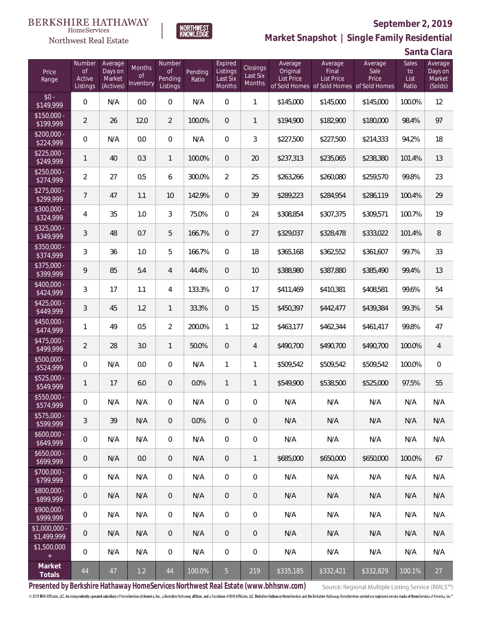#### **BERKSHIRE HATHAWAY**  $\label{lem:sevices} \textsc{Home} \textsc{Service} \textsc{s}$

# Northwest Real Estate



# **September 2, 2019**

**Santa Clara Market Snapshot | Single Family Residential**

| Price<br>Range               | Number<br>$\mathsf{of}$<br>Active<br>Listings | Average<br>Days on<br>Market<br>(Actives) | Months<br><b>of</b><br>Inventory | Number<br>Οf<br>Pending<br>Listings | Pending<br>Ratio | Expired<br>Listings<br>Last Six<br><b>Months</b> | Closings<br>Last Six<br>Months | Average<br>Original<br>List Price | Average<br>Final<br><b>List Price</b><br>of Sold Homes of Sold Homes of Sold Homes | Average<br>Sale<br>Price | Sales<br>to<br>List<br>Ratio | Average<br>Days on<br>Market<br>(Solds) |
|------------------------------|-----------------------------------------------|-------------------------------------------|----------------------------------|-------------------------------------|------------------|--------------------------------------------------|--------------------------------|-----------------------------------|------------------------------------------------------------------------------------|--------------------------|------------------------------|-----------------------------------------|
| $$0 -$<br>\$149,999          | 0                                             | N/A                                       | 0.0                              | $\overline{0}$                      | N/A              | $\overline{0}$                                   | 1                              | \$145,000                         | \$145,000                                                                          | \$145,000                | 100.0%                       | 12                                      |
| $$150.000 -$<br>\$199,999    | 2                                             | 26                                        | 12.0                             | $\overline{2}$                      | 100.0%           | $\overline{0}$                                   | $\mathbf{1}$                   | \$194,900                         | \$182,900                                                                          | \$180,000                | 98.4%                        | 97                                      |
| $$200,000 -$<br>\$224,999    | 0                                             | N/A                                       | 0.0                              | $\overline{0}$                      | N/A              | $\overline{0}$                                   | 3                              | \$227,500                         | \$227,500                                                                          | \$214,333                | 94.2%                        | 18                                      |
| $$225.000 -$<br>\$249,999    | 1                                             | 40                                        | 0.3                              | $\mathbf{1}$                        | 100.0%           | $\overline{0}$                                   | 20                             | \$237,313                         | \$235,065                                                                          | \$238,380                | 101.4%                       | 13                                      |
| $$250,000 -$<br>\$274,999    | 2                                             | 27                                        | 0.5                              | 6                                   | 300.0%           | $\overline{2}$                                   | 25                             | \$263,266                         | \$260,080                                                                          | \$259,570                | 99.8%                        | 23                                      |
| $$275,000 -$<br>\$299,999    | $\overline{7}$                                | 47                                        | 1.1                              | 10                                  | 142.9%           | $\overline{0}$                                   | 39                             | \$289,223                         | \$284,954                                                                          | \$286,119                | 100.4%                       | 29                                      |
| \$300,000 -<br>\$324,999     | 4                                             | 35                                        | 1.0                              | 3                                   | 75.0%            | $\overline{0}$                                   | 24                             | \$308,854                         | \$307,375                                                                          | \$309,571                | 100.7%                       | 19                                      |
| \$325,000 -<br>\$349,999     | 3                                             | 48                                        | 0.7                              | 5                                   | 166.7%           | $\overline{0}$                                   | 27                             | \$329,037                         | \$328,478                                                                          | \$333,022                | 101.4%                       | 8                                       |
| \$350,000 -<br>\$374,999     | 3                                             | 36                                        | 1.0                              | 5                                   | 166.7%           | $\overline{0}$                                   | 18                             | \$365,168                         | \$362,552                                                                          | \$361,607                | 99.7%                        | 33                                      |
| \$375,000 -<br>\$399,999     | 9                                             | 85                                        | 5.4                              | $\overline{4}$                      | 44.4%            | $\overline{0}$                                   | 10                             | \$388,980                         | \$387,880                                                                          | \$385,490                | 99.4%                        | 13                                      |
| \$400,000 -<br>\$424,999     | 3                                             | 17                                        | 1.1                              | 4                                   | 133.3%           | $\mathbf{0}$                                     | 17                             | \$411,469                         | \$410,381                                                                          | \$408,581                | 99.6%                        | 54                                      |
| $$425,000 -$<br>\$449,999    | 3                                             | 45                                        | 1.2                              | $\mathbf{1}$                        | 33.3%            | $\overline{0}$                                   | 15                             | \$450,397                         | \$442,477                                                                          | \$439,384                | 99.3%                        | 54                                      |
| \$450,000 -<br>\$474,999     | 1                                             | 49                                        | 0.5                              | $\overline{2}$                      | 200.0%           | $\mathbf{1}$                                     | 12                             | \$463,177                         | \$462,344                                                                          | \$461,417                | 99.8%                        | 47                                      |
| $$475,000 -$<br>\$499,999    | $\overline{2}$                                | 28                                        | 3.0                              | $\mathbf{1}$                        | 50.0%            | $\overline{0}$                                   | $\overline{4}$                 | \$490,700                         | \$490,700                                                                          | \$490,700                | 100.0%                       | 4                                       |
| \$500,000 -<br>\$524,999     | 0                                             | N/A                                       | 0.0                              | $\overline{0}$                      | N/A              | $\mathbf{1}$                                     | 1                              | \$509,542                         | \$509,542                                                                          | \$509,542                | 100.0%                       | $\boldsymbol{0}$                        |
| \$525,000 -<br>\$549,999     | 1                                             | 17                                        | 6.0                              | $\theta$                            | 0.0%             | $\mathbf{1}$                                     | $\mathbf{1}$                   | \$549,900                         | \$538,500                                                                          | \$525,000                | 97.5%                        | 55                                      |
| \$550,000 -<br>\$574,999     | 0                                             | N/A                                       | N/A                              | $\overline{0}$                      | N/A              | $\overline{0}$                                   | $\mathbf 0$                    | N/A                               | N/A                                                                                | N/A                      | N/A                          | N/A                                     |
| $$575,000 -$<br>\$599,999    | 3                                             | 39                                        | N/A                              | $\overline{0}$                      | 0.0%             | $\overline{0}$                                   | $\overline{0}$                 | N/A                               | N/A                                                                                | N/A                      | N/A                          | N/A                                     |
| $$600,000 -$<br>\$649,999    | 0                                             | N/A                                       | N/A                              | $\overline{0}$                      | N/A              | $\overline{0}$                                   | $\mathbf 0$                    | N/A                               | N/A                                                                                | N/A                      | N/A                          | N/A                                     |
| $$650,000 -$<br>\$699,999    | 0                                             | N/A                                       | 0.0                              | $\overline{0}$                      | N/A              | $\overline{0}$                                   | $\mathbf{1}$                   | \$685,000                         | \$650,000                                                                          | \$650,000                | 100.0%                       | 67                                      |
| \$700,000 -<br>\$799,999     | 0                                             | N/A                                       | N/A                              | $\overline{0}$                      | N/A              | $\overline{0}$                                   | $\overline{0}$                 | N/A                               | N/A                                                                                | N/A                      | N/A                          | N/A                                     |
| \$800,000 -<br>\$899,999     | 0                                             | N/A                                       | N/A                              | $\overline{0}$                      | N/A              | $\sqrt{0}$                                       | $\overline{0}$                 | N/A                               | N/A                                                                                | N/A                      | N/A                          | N/A                                     |
| $$900,000 -$<br>\$999,999    | 0                                             | N/A                                       | N/A                              | $\overline{0}$                      | N/A              | $\overline{0}$                                   | $\overline{0}$                 | N/A                               | N/A                                                                                | N/A                      | N/A                          | N/A                                     |
| \$1,000,000 -<br>\$1,499,999 | 0                                             | N/A                                       | N/A                              | $\overline{0}$                      | N/A              | $\sqrt{0}$                                       | $\mathbf 0$                    | N/A                               | N/A                                                                                | N/A                      | N/A                          | N/A                                     |
| \$1,500,000<br>$\pm$         | 0                                             | N/A                                       | N/A                              | $\overline{0}$                      | N/A              | $\mathbf 0$                                      | $\mathbf 0$                    | N/A                               | N/A                                                                                | N/A                      | N/A                          | N/A                                     |
| Market<br>Totals             | $44\,$                                        | 47                                        | 1.2                              | 44                                  | 100.0%           | $5\phantom{.}$                                   | 219                            | \$335,185                         | \$332,421                                                                          | \$332,829                | 100.1%                       | 27                                      |

**Presented by Berkshire Hathaway HomeServices Northwest Real Estate (www.bhhsnw.com)**

Source: Regional Multiple Listing Service (RMLS™)